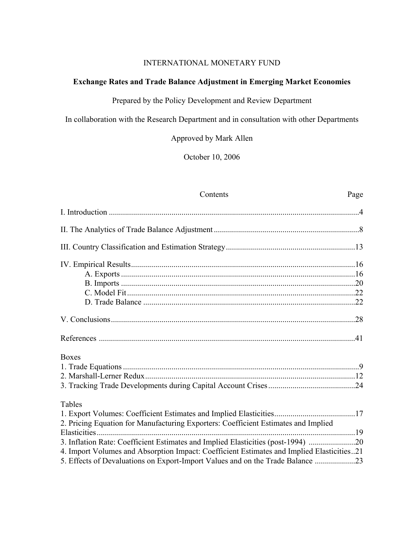## INTERNATIONAL MONETARY FUND

# **Exchange Rates and Trade Balance Adjustment in Emerging Market Economies**

Prepared by the Policy Development and Review Department

In collaboration with the Research Department and in consultation with other Departments

Approved by Mark Allen

October 10, 2006

Contents Page

| <b>Boxes</b>                                                                              |  |
|-------------------------------------------------------------------------------------------|--|
|                                                                                           |  |
|                                                                                           |  |
|                                                                                           |  |
| Tables                                                                                    |  |
|                                                                                           |  |
| 2. Pricing Equation for Manufacturing Exporters: Coefficient Estimates and Implied        |  |
|                                                                                           |  |
| 3. Inflation Rate: Coefficient Estimates and Implied Elasticities (post-1994) 20          |  |
| 4. Import Volumes and Absorption Impact: Coefficient Estimates and Implied Elasticities21 |  |
| 5. Effects of Devaluations on Export-Import Values and on the Trade Balance 23            |  |
|                                                                                           |  |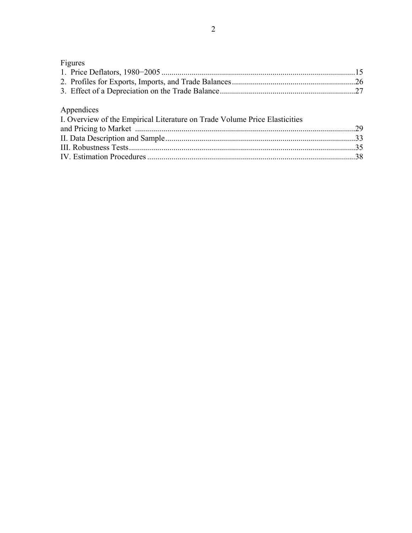# Figures 1. Price Deflators, 1980−2005 ................................................................................................15 2. Profiles for Exports, Imports, and Trade Balances.............................................................26 3. Effect of a Depreciation on the Trade Balance...................................................................27 Appendices I. Overview of the Empirical Literature on Trade Volume Price Elasticities and Pricing to Market .............................................................................................................29 II. Data Description and Sample..............................................................................................33 III. Robustness Tests................................................................................................................35 IV. Estimation Procedures .......................................................................................................38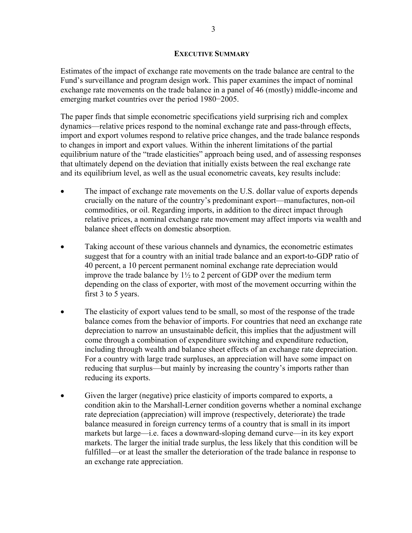## **EXECUTIVE SUMMARY**

Estimates of the impact of exchange rate movements on the trade balance are central to the Fund's surveillance and program design work. This paper examines the impact of nominal exchange rate movements on the trade balance in a panel of 46 (mostly) middle-income and emerging market countries over the period 1980−2005.

The paper finds that simple econometric specifications yield surprising rich and complex dynamics—relative prices respond to the nominal exchange rate and pass-through effects, import and export volumes respond to relative price changes, and the trade balance responds to changes in import and export values. Within the inherent limitations of the partial equilibrium nature of the "trade elasticities" approach being used, and of assessing responses that ultimately depend on the deviation that initially exists between the real exchange rate and its equilibrium level, as well as the usual econometric caveats, key results include:

- The impact of exchange rate movements on the U.S. dollar value of exports depends crucially on the nature of the country's predominant export—manufactures, non-oil commodities, or oil. Regarding imports, in addition to the direct impact through relative prices, a nominal exchange rate movement may affect imports via wealth and balance sheet effects on domestic absorption.
- Taking account of these various channels and dynamics, the econometric estimates suggest that for a country with an initial trade balance and an export-to-GDP ratio of 40 percent, a 10 percent permanent nominal exchange rate depreciation would improve the trade balance by  $1\frac{1}{2}$  to 2 percent of GDP over the medium term depending on the class of exporter, with most of the movement occurring within the first 3 to 5 years.
- The elasticity of export values tend to be small, so most of the response of the trade balance comes from the behavior of imports. For countries that need an exchange rate depreciation to narrow an unsustainable deficit, this implies that the adjustment will come through a combination of expenditure switching and expenditure reduction, including through wealth and balance sheet effects of an exchange rate depreciation. For a country with large trade surpluses, an appreciation will have some impact on reducing that surplus—but mainly by increasing the country's imports rather than reducing its exports.
- Given the larger (negative) price elasticity of imports compared to exports, a condition akin to the Marshall-Lerner condition governs whether a nominal exchange rate depreciation (appreciation) will improve (respectively, deteriorate) the trade balance measured in foreign currency terms of a country that is small in its import markets but large—i.e. faces a downward-sloping demand curve—in its key export markets. The larger the initial trade surplus, the less likely that this condition will be fulfilled—or at least the smaller the deterioration of the trade balance in response to an exchange rate appreciation.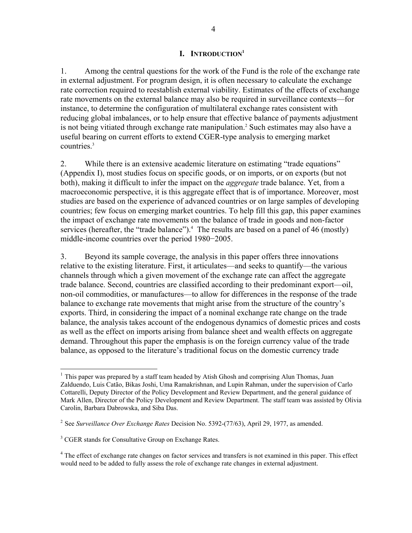### **I. INTRODUCTION1**

1. Among the central questions for the work of the Fund is the role of the exchange rate in external adjustment. For program design, it is often necessary to calculate the exchange rate correction required to reestablish external viability. Estimates of the effects of exchange rate movements on the external balance may also be required in surveillance contexts—for instance, to determine the configuration of multilateral exchange rates consistent with reducing global imbalances, or to help ensure that effective balance of payments adjustment is not being vitiated through exchange rate manipulation.<sup>2</sup> Such estimates may also have a useful bearing on current efforts to extend CGER-type analysis to emerging market countries.<sup>3</sup>

2. While there is an extensive academic literature on estimating "trade equations" (Appendix I), most studies focus on specific goods, or on imports, or on exports (but not both), making it difficult to infer the impact on the *aggregate* trade balance. Yet, from a macroeconomic perspective, it is this aggregate effect that is of importance. Moreover, most studies are based on the experience of advanced countries or on large samples of developing countries; few focus on emerging market countries. To help fill this gap, this paper examines the impact of exchange rate movements on the balance of trade in goods and non-factor services (hereafter, the "trade balance").<sup>4</sup> The results are based on a panel of 46 (mostly) middle-income countries over the period 1980−2005.

3. Beyond its sample coverage, the analysis in this paper offers three innovations relative to the existing literature. First, it articulates—and seeks to quantify—the various channels through which a given movement of the exchange rate can affect the aggregate trade balance. Second, countries are classified according to their predominant export—oil, non-oil commodities, or manufactures—to allow for differences in the response of the trade balance to exchange rate movements that might arise from the structure of the country's exports. Third, in considering the impact of a nominal exchange rate change on the trade balance, the analysis takes account of the endogenous dynamics of domestic prices and costs as well as the effect on imports arising from balance sheet and wealth effects on aggregate demand. Throughout this paper the emphasis is on the foreign currency value of the trade balance, as opposed to the literature's traditional focus on the domestic currency trade

 $\overline{a}$ 

<sup>&</sup>lt;sup>1</sup> This paper was prepared by a staff team headed by Atish Ghosh and comprising Alun Thomas, Juan Zalduendo, Luis Catão, Bikas Joshi, Uma Ramakrishnan, and Lupin Rahman, under the supervision of Carlo Cottarelli, Deputy Director of the Policy Development and Review Department, and the general guidance of Mark Allen, Director of the Policy Development and Review Department. The staff team was assisted by Olivia Carolin, Barbara Dabrowska, and Siba Das.

<sup>2</sup> See *Surveillance Over Exchange Rates* Decision No. 5392-(77/63), April 29, 1977, as amended.

<sup>&</sup>lt;sup>3</sup> CGER stands for Consultative Group on Exchange Rates.

<sup>&</sup>lt;sup>4</sup> The effect of exchange rate changes on factor services and transfers is not examined in this paper. This effect would need to be added to fully assess the role of exchange rate changes in external adjustment.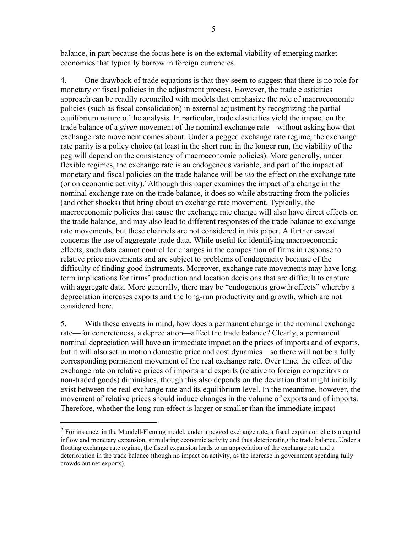balance, in part because the focus here is on the external viability of emerging market economies that typically borrow in foreign currencies.

4. One drawback of trade equations is that they seem to suggest that there is no role for monetary or fiscal policies in the adjustment process. However, the trade elasticities approach can be readily reconciled with models that emphasize the role of macroeconomic policies (such as fiscal consolidation) in external adjustment by recognizing the partial equilibrium nature of the analysis. In particular, trade elasticities yield the impact on the trade balance of a *given* movement of the nominal exchange rate—without asking how that exchange rate movement comes about. Under a pegged exchange rate regime, the exchange rate parity is a policy choice (at least in the short run; in the longer run, the viability of the peg will depend on the consistency of macroeconomic policies). More generally, under flexible regimes, the exchange rate is an endogenous variable, and part of the impact of monetary and fiscal policies on the trade balance will be *via* the effect on the exchange rate (or on economic activity).<sup>5</sup> Although this paper examines the impact of a change in the nominal exchange rate on the trade balance, it does so while abstracting from the policies (and other shocks) that bring about an exchange rate movement. Typically, the macroeconomic policies that cause the exchange rate change will also have direct effects on the trade balance, and may also lead to different responses of the trade balance to exchange rate movements, but these channels are not considered in this paper. A further caveat concerns the use of aggregate trade data. While useful for identifying macroeconomic effects, such data cannot control for changes in the composition of firms in response to relative price movements and are subject to problems of endogeneity because of the difficulty of finding good instruments. Moreover, exchange rate movements may have longterm implications for firms' production and location decisions that are difficult to capture with aggregate data. More generally, there may be "endogenous growth effects" whereby a depreciation increases exports and the long-run productivity and growth, which are not considered here.

5. With these caveats in mind, how does a permanent change in the nominal exchange rate—for concreteness, a depreciation—affect the trade balance? Clearly, a permanent nominal depreciation will have an immediate impact on the prices of imports and of exports, but it will also set in motion domestic price and cost dynamics—so there will not be a fully corresponding permanent movement of the real exchange rate. Over time, the effect of the exchange rate on relative prices of imports and exports (relative to foreign competitors or non-traded goods) diminishes, though this also depends on the deviation that might initially exist between the real exchange rate and its equilibrium level. In the meantime, however, the movement of relative prices should induce changes in the volume of exports and of imports. Therefore, whether the long-run effect is larger or smaller than the immediate impact

 $\overline{a}$ 

<sup>&</sup>lt;sup>5</sup> For instance, in the Mundell-Fleming model, under a pegged exchange rate, a fiscal expansion elicits a capital inflow and monetary expansion, stimulating economic activity and thus deteriorating the trade balance. Under a floating exchange rate regime, the fiscal expansion leads to an appreciation of the exchange rate and a deterioration in the trade balance (though no impact on activity, as the increase in government spending fully crowds out net exports).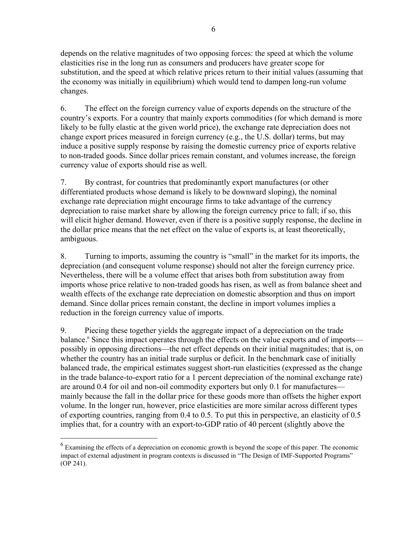depends on the relative magnitudes of two opposing forces: the speed at which the volume elasticities rise in the long run as consumers and producers have greater scope for substitution, and the speed at which relative prices return to their initial values (assuming that the economy was initially in equilibrium) which would tend to dampen long-run volume changes.

6. The effect on the foreign currency value of exports depends on the structure of the country's exports. For a country that mainly exports commodities (for which demand is more likely to be fully elastic at the given world price), the exchange rate depreciation does not change export prices measured in foreign currency (e.g., the U.S. dollar) terms, but may induce a positive supply response by raising the domestic currency price of exports relative to non-traded goods. Since dollar prices remain constant, and volumes increase, the foreign currency value of exports should rise as well.

7. By contrast, for countries that predominantly export manufactures (or other differentiated products whose demand is likely to be downward sloping), the nominal exchange rate depreciation might encourage firms to take advantage of the currency depreciation to raise market share by allowing the foreign currency price to fall; if so, this will elicit higher demand. However, even if there is a positive supply response, the decline in the dollar price means that the net effect on the value of exports is, at least theoretically, ambiguous.

8. Turning to imports, assuming the country is "small" in the market for its imports, the depreciation (and consequent volume response) should not alter the foreign currency price. Nevertheless, there will be a volume effect that arises both from substitution away from imports whose price relative to non-traded goods has risen, as well as from balance sheet and wealth effects of the exchange rate depreciation on domestic absorption and thus on import demand. Since dollar prices remain constant, the decline in import volumes implies a reduction in the foreign currency value of imports.

9. Piecing these together yields the aggregate impact of a depreciation on the trade balance.<sup>6</sup> Since this impact operates through the effects on the value exports and of imports possibly in opposing directions—the net effect depends on their initial magnitudes; that is, on whether the country has an initial trade surplus or deficit. In the benchmark case of initially balanced trade, the empirical estimates suggest short-run elasticities (expressed as the change in the trade balance-to-export ratio for a 1 percent depreciation of the nominal exchange rate) are around 0.4 for oil and non-oil commodity exporters but only 0.1 for manufactures mainly because the fall in the dollar price for these goods more than offsets the higher export volume. In the longer run, however, price elasticities are more similar across different types of exporting countries, ranging from 0.4 to 0.5. To put this in perspective, an elasticity of 0.5 implies that, for a country with an export-to-GDP ratio of 40 percent (slightly above the

1

 $<sup>6</sup>$  Examining the effects of a depreciation on economic growth is beyond the scope of this paper. The economic</sup> impact of external adjustment in program contexts is discussed in "The Design of IMF-Supported Programs" (OP 241).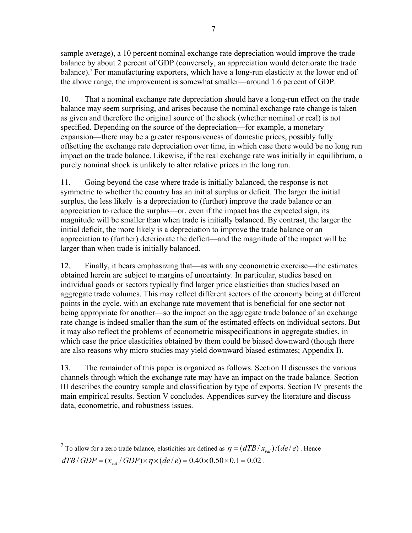sample average), a 10 percent nominal exchange rate depreciation would improve the trade balance by about 2 percent of GDP (conversely, an appreciation would deteriorate the trade balance).<sup>7</sup> For manufacturing exporters, which have a long-run elasticity at the lower end of the above range, the improvement is somewhat smaller—around 1.6 percent of GDP.

10. That a nominal exchange rate depreciation should have a long-run effect on the trade balance may seem surprising, and arises because the nominal exchange rate change is taken as given and therefore the original source of the shock (whether nominal or real) is not specified. Depending on the source of the depreciation—for example, a monetary expansion—there may be a greater responsiveness of domestic prices, possibly fully offsetting the exchange rate depreciation over time, in which case there would be no long run impact on the trade balance. Likewise, if the real exchange rate was initially in equilibrium, a purely nominal shock is unlikely to alter relative prices in the long run.

11. Going beyond the case where trade is initially balanced, the response is not symmetric to whether the country has an initial surplus or deficit. The larger the initial surplus, the less likely is a depreciation to (further) improve the trade balance or an appreciation to reduce the surplus—or, even if the impact has the expected sign, its magnitude will be smaller than when trade is initially balanced. By contrast, the larger the initial deficit, the more likely is a depreciation to improve the trade balance or an appreciation to (further) deteriorate the deficit—and the magnitude of the impact will be larger than when trade is initially balanced.

12. Finally, it bears emphasizing that—as with any econometric exercise—the estimates obtained herein are subject to margins of uncertainty. In particular, studies based on individual goods or sectors typically find larger price elasticities than studies based on aggregate trade volumes. This may reflect different sectors of the economy being at different points in the cycle, with an exchange rate movement that is beneficial for one sector not being appropriate for another—so the impact on the aggregate trade balance of an exchange rate change is indeed smaller than the sum of the estimated effects on individual sectors. But it may also reflect the problems of econometric misspecifications in aggregate studies, in which case the price elasticities obtained by them could be biased downward (though there are also reasons why micro studies may yield downward biased estimates; Appendix I).

13. The remainder of this paper is organized as follows. Section II discusses the various channels through which the exchange rate may have an impact on the trade balance. Section III describes the country sample and classification by type of exports. Section IV presents the main empirical results. Section V concludes. Appendices survey the literature and discuss data, econometric, and robustness issues.

 $\overline{a}$ 

<sup>&</sup>lt;sup>7</sup> To allow for a zero trade balance, elasticities are defined as  $\eta = (dTB / x_{val})/(de / e)$ . Hence  $dTB / GDP = (x_{val} / GDP) \times \eta \times (de / e) = 0.40 \times 0.50 \times 0.1 = 0.02$ .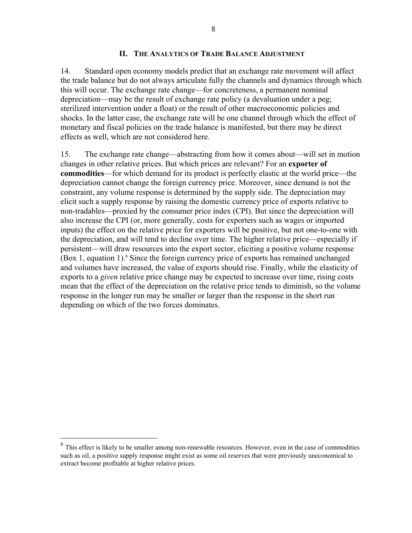### **II. THE ANALYTICS OF TRADE BALANCE ADJUSTMENT**

14. Standard open economy models predict that an exchange rate movement will affect the trade balance but do not always articulate fully the channels and dynamics through which this will occur. The exchange rate change—for concreteness, a permanent nominal depreciation—may be the result of exchange rate policy (a devaluation under a peg; sterilized intervention under a float) or the result of other macroeconomic policies and shocks. In the latter case, the exchange rate will be one channel through which the effect of monetary and fiscal policies on the trade balance is manifested, but there may be direct effects as well, which are not considered here.

15. The exchange rate change—abstracting from how it comes about—will set in motion changes in other relative prices. But which prices are relevant? For an **exporter of commodities**—for which demand for its product is perfectly elastic at the world price—the depreciation cannot change the foreign currency price. Moreover, since demand is not the constraint, any volume response is determined by the supply side. The depreciation may elicit such a supply response by raising the domestic currency price of exports relative to non-tradables—proxied by the consumer price index (CPI). But since the depreciation will also increase the CPI (or, more generally, costs for exporters such as wages or imported inputs) the effect on the relative price for exporters will be positive, but not one-to-one with the depreciation, and will tend to decline over time. The higher relative price—especially if persistent—will draw resources into the export sector, eliciting a positive volume response (Box 1, equation 1).<sup>8</sup> Since the foreign currency price of exports has remained unchanged and volumes have increased, the value of exports should rise. Finally, while the elasticity of exports to a *given* relative price change may be expected to increase over time, rising costs mean that the effect of the depreciation on the relative price tends to diminish, so the volume response in the longer run may be smaller or larger than the response in the short run depending on which of the two forces dominates.

 $\overline{a}$ 

<sup>&</sup>lt;sup>8</sup> This effect is likely to be smaller among non-renewable resources. However, even in the case of commodities such as oil, a positive supply response might exist as some oil reserves that were previously uneconomical to extract become profitable at higher relative prices.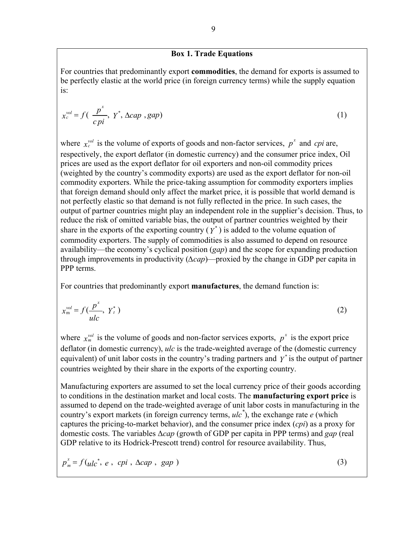## **Box 1. Trade Equations**

For countries that predominantly export **commodities**, the demand for exports is assumed to be perfectly elastic at the world price (in foreign currency terms) while the supply equation is:

$$
x_c^{vol} = f\left(\frac{p^x}{c\,pi}, \ Y^*, \ \Delta cap, gap\right) \tag{1}
$$

where  $x_c^{vol}$  is the volume of exports of goods and non-factor services,  $p^x$  and *cpi* are, respectively, the export deflator (in domestic currency) and the consumer price index, Oil prices are used as the export deflator for oil exporters and non-oil commodity prices (weighted by the country's commodity exports) are used as the export deflator for non-oil commodity exporters. While the price-taking assumption for commodity exporters implies that foreign demand should only affect the market price, it is possible that world demand is not perfectly elastic so that demand is not fully reflected in the price. In such cases, the output of partner countries might play an independent role in the supplier's decision. Thus, to reduce the risk of omitted variable bias, the output of partner countries weighted by their share in the exports of the exporting country  $(Y^*)$  is added to the volume equation of commodity exporters. The supply of commodities is also assumed to depend on resource availability—the economy's cyclical position (*gap*) and the scope for expanding production through improvements in productivity (*∆cap*)—proxied by the change in GDP per capita in PPP terms.

For countries that predominantly export **manufactures**, the demand function is:

$$
x_{\rm m}^{\rm vol} = f(\frac{p^x}{ulc}, Y_t^*)
$$
 (2)

where  $x_m^{\text{vol}}$  is the volume of goods and non-factor services exports,  $p^x$  is the export price deflator (in domestic currency), *ulc* is the trade-weighted average of the (domestic currency equivalent) of unit labor costs in the country's trading partners and  $y^*$  is the output of partner countries weighted by their share in the exports of the exporting country.

Manufacturing exporters are assumed to set the local currency price of their goods according to conditions in the destination market and local costs. The **manufacturing export price** is assumed to depend on the trade-weighted average of unit labor costs in manufacturing in the country's export markets (in foreign currency terms, *ulc\** ), the exchange rate *e* (which captures the pricing-to-market behavior), and the consumer price index (*cpi*) as a proxy for domestic costs. The variables ∆*cap* (growth of GDP per capita in PPP terms) and *gap* (real GDP relative to its Hodrick-Prescott trend) control for resource availability. Thus,

$$
p_m^* = f(u/c^*, e, cpi, \Delta cap, gap)
$$
 (3)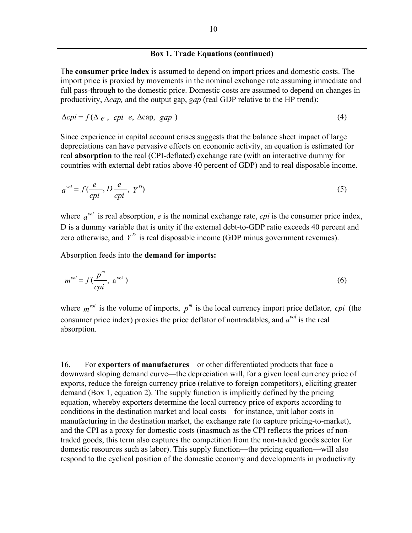## **Box 1. Trade Equations (continued)**

The **consumer price index** is assumed to depend on import prices and domestic costs. The import price is proxied by movements in the nominal exchange rate assuming immediate and full pass-through to the domestic price. Domestic costs are assumed to depend on changes in productivity, ∆*cap,* and the output gap, *gap* (real GDP relative to the HP trend):

$$
\Delta cpi = f(\Delta e, cpi e, \Delta cap, gap)
$$
\n(4)

Since experience in capital account crises suggests that the balance sheet impact of large depreciations can have pervasive effects on economic activity, an equation is estimated for real **absorption** to the real (CPI-deflated) exchange rate (with an interactive dummy for countries with external debt ratios above 40 percent of GDP) and to real disposable income.

$$
a^{vol} = f(\frac{e}{cpi}, D\frac{e}{cpi}, Y^D)
$$
 (5)

where  $a^{vol}$  is real absorption, *e* is the nominal exchange rate, *cpi* is the consumer price index, D is a dummy variable that is unity if the external debt-to-GDP ratio exceeds 40 percent and zero otherwise, and  $Y^D$  is real disposable income (GDP minus government revenues).

Absorption feeds into the **demand for imports:** 

$$
m^{\text{vol}} = f(\frac{p^m}{c p i}, \mathbf{a}^{\text{vol}})
$$
 (6)

where  $m^{vol}$  is the volume of imports,  $p^m$  is the local currency import price deflator, *cpi* (the consumer price index) proxies the price deflator of nontradables, and  $a^{vol}$  is the real absorption.

16. For **exporters of manufactures**—or other differentiated products that face a downward sloping demand curve—the depreciation will, for a given local currency price of exports, reduce the foreign currency price (relative to foreign competitors), eliciting greater demand (Box 1, equation 2). The supply function is implicitly defined by the pricing equation, whereby exporters determine the local currency price of exports according to conditions in the destination market and local costs—for instance, unit labor costs in manufacturing in the destination market, the exchange rate (to capture pricing-to-market), and the CPI as a proxy for domestic costs (inasmuch as the CPI reflects the prices of nontraded goods, this term also captures the competition from the non-traded goods sector for domestic resources such as labor). This supply function—the pricing equation—will also respond to the cyclical position of the domestic economy and developments in productivity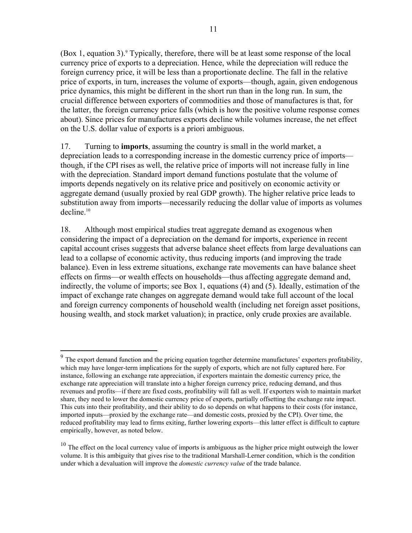(Box 1, equation 3). Typically, therefore, there will be at least some response of the local currency price of exports to a depreciation. Hence, while the depreciation will reduce the foreign currency price, it will be less than a proportionate decline. The fall in the relative price of exports, in turn, increases the volume of exports—though, again, given endogenous price dynamics, this might be different in the short run than in the long run. In sum, the crucial difference between exporters of commodities and those of manufactures is that, for the latter, the foreign currency price falls (which is how the positive volume response comes about). Since prices for manufactures exports decline while volumes increase, the net effect on the U.S. dollar value of exports is a priori ambiguous.

17. Turning to **imports**, assuming the country is small in the world market, a depreciation leads to a corresponding increase in the domestic currency price of imports though, if the CPI rises as well, the relative price of imports will not increase fully in line with the depreciation. Standard import demand functions postulate that the volume of imports depends negatively on its relative price and positively on economic activity or aggregate demand (usually proxied by real GDP growth). The higher relative price leads to substitution away from imports—necessarily reducing the dollar value of imports as volumes  $decline<sup>10</sup>$ 

18. Although most empirical studies treat aggregate demand as exogenous when considering the impact of a depreciation on the demand for imports, experience in recent capital account crises suggests that adverse balance sheet effects from large devaluations can lead to a collapse of economic activity, thus reducing imports (and improving the trade balance). Even in less extreme situations, exchange rate movements can have balance sheet effects on firms—or wealth effects on households—thus affecting aggregate demand and, indirectly, the volume of imports; see Box 1, equations (4) and (5). Ideally, estimation of the impact of exchange rate changes on aggregate demand would take full account of the local and foreign currency components of household wealth (including net foreign asset positions, housing wealth, and stock market valuation); in practice, only crude proxies are available.

 $\overline{a}$ 

 $9<sup>9</sup>$  The export demand function and the pricing equation together determine manufactures' exporters profitability, which may have longer-term implications for the supply of exports, which are not fully captured here. For instance, following an exchange rate appreciation, if exporters maintain the domestic currency price, the exchange rate appreciation will translate into a higher foreign currency price, reducing demand, and thus revenues and profits—if there are fixed costs, profitability will fall as well. If exporters wish to maintain market share, they need to lower the domestic currency price of exports, partially offsetting the exchange rate impact. This cuts into their profitability, and their ability to do so depends on what happens to their costs (for instance, imported inputs—proxied by the exchange rate—and domestic costs, proxied by the CPI). Over time, the reduced profitability may lead to firms exiting, further lowering exports—this latter effect is difficult to capture empirically, however, as noted below.

<sup>&</sup>lt;sup>10</sup> The effect on the local currency value of imports is ambiguous as the higher price might outweigh the lower volume. It is this ambiguity that gives rise to the traditional Marshall-Lerner condition, which is the condition under which a devaluation will improve the *domestic currency value* of the trade balance.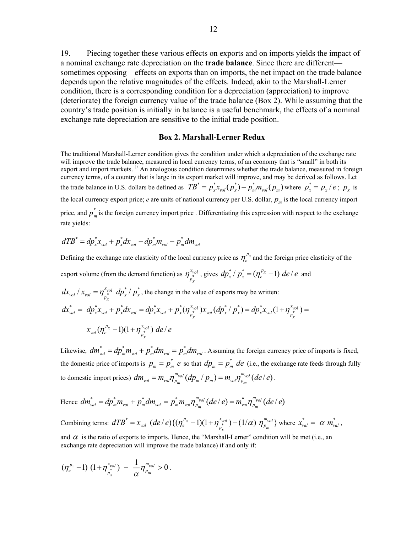19. Piecing together these various effects on exports and on imports yields the impact of a nominal exchange rate depreciation on the **trade balance**. Since there are different sometimes opposing—effects on exports than on imports, the net impact on the trade balance depends upon the relative magnitudes of the effects. Indeed, akin to the Marshall-Lerner condition, there is a corresponding condition for a depreciation (appreciation) to improve (deteriorate) the foreign currency value of the trade balance (Box 2). While assuming that the country's trade position is initially in balance is a useful benchmark, the effects of a nominal exchange rate depreciation are sensitive to the initial trade position.

### **Box 2. Marshall-Lerner Redux**

The traditional Marshall-Lerner condition gives the condition under which a depreciation of the exchange rate will improve the trade balance, measured in local currency terms, of an economy that is "small" in both its export and import markets. <sup>1/</sup> An analogous condition determines whether the trade balance, measured in foreign currency terms, of a country that is large in its export market will improve, and may be derived as follows. Let the trade balance in U.S. dollars be defined as  $TB^* = p_x^* x_{vol}(p_x^*) - p_m^* m_{vol}(p_m)$  where  $p_x^* = p_x / e$ ;  $p_x$  is the local currency export price; *e* are units of national currency per U.S. dollar,  $p_m$  is the local currency import price, and  $p_m^*$  is the foreign currency import price . Differentiating this expression with respect to the exchange rate yields:

$$
dTB^* = dp^*_{x}x_{vol} + p^*_{x}dx_{vol} - dp^*_{m}m_{vol} - p^*_{m}dm_{vol}
$$

Defining the exchange rate elasticity of the local currency price as  $\eta_e^{p_x}$  and the foreign price elasticity of the

export volume (from the demand function) as  $\eta_{\mu}^{x_{\text{vol}}}$  $\eta_{p_x}^{x_{vol}}$ , gives  $dp_x^* / p_x^* = (\eta_e^{p_x} - 1)$  *de / e* and

 $dx_{vol}/x_{vol} = \eta_{p_x}^{x_{vol}} dp_x^* / p_x^*$ , the change in the value of exports may be written:

$$
dx_{val}^* = dp_x^* x_{vol} + p_x^* dx_{vol} = dp_x^* x_{vol} + p_x^* (\eta_{p_x^*}^{x_{vol}}) x_{vol} (dp_x^* / p_x^*) = dp_x^* x_{vol} (1 + \eta_{p_x^*}^{x_{vol}}) = x_{val} (\eta_e^{p_x} - 1)(1 + \eta_{p_x^*}^{x_{vol}}) de/e
$$

Likewise,  $dm_{val}^* = dp_m^* m_{vol} + p_m^* dm_{vol} = p_m^* dm_{vol}$ . Assuming the foreign currency price of imports is fixed, the domestic price of imports is  $p_m = p_m^*$  *e* so that  $dp_m = p_m^*$  *de* (i.e., the exchange rate feeds through fully to domestic import prices)  $dm_{vol} = m_{vol} \eta_{p_m}^{m_{vol}} (dp_m / p_m) = m_{vol} \eta_{p_m}^{m_{vol}} (de / e)$ .

Hence 
$$
dm_{\text{val}}^* = dp_m^* m_{\text{vol}} + p_m^* dm_{\text{vol}} = p_m^* m_{\text{vol}} \eta_{\text{p}_m}^{\text{m}_{\text{vol}}}(de/e) = m_{\text{val}}^* \eta_{\text{p}_m}^{\text{m}_{\text{vol}}}(de/e)
$$

Combining terms:  $dTB^* = x_{val}$   $(de/e){(\eta_e^{p_x} - 1)(1 + \eta_{p_x}^{x_{vol}}) - (1/\alpha) \eta_{p_m}^{m_{vol}}}$  where  $x_{val}^* = \alpha m_{val}^*$ ,

and  $\alpha$  is the ratio of exports to imports. Hence, the "Marshall-Lerner" condition will be met (i.e., an exchange rate depreciation will improve the trade balance) if and only if:

$$
(\eta_e^{p_x}-1) (1+\eta_{p_x^{*}}^{x_{vol}}) - \frac{1}{\alpha}\eta_{p_m}^{m_{vol}} > 0.
$$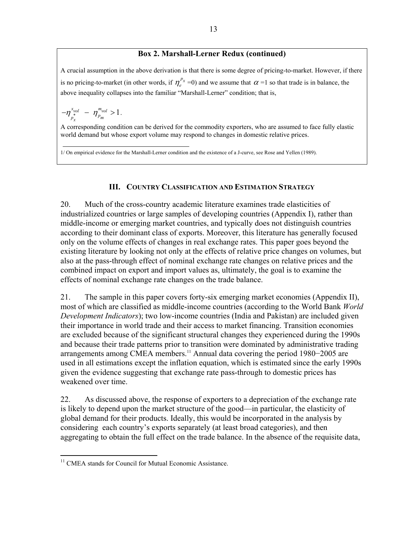## **Box 2. Marshall-Lerner Redux (continued)**

A crucial assumption in the above derivation is that there is some degree of pricing-to-market. However, if there is no pricing-to-market (in other words, if  $\eta_{\varepsilon}^{p_x}$  =0) and we assume that  $\alpha$  =1 so that trade is in balance, the above inequality collapses into the familiar "Marshall-Lerner" condition; that is,

$$
-\eta_{p_{x}}^{x_{vol}} - \eta_{p_{m}}^{m_{vol}} > 1.
$$

A corresponding condition can be derived for the commodity exporters, who are assumed to face fully elastic world demand but whose export volume may respond to changes in domestic relative prices.

1/ On empirical evidence for the Marshall-Lerner condition and the existence of a J-curve, see Rose and Yellen (1989).

## **III. COUNTRY CLASSIFICATION AND ESTIMATION STRATEGY**

20. Much of the cross-country academic literature examines trade elasticities of industrialized countries or large samples of developing countries (Appendix I), rather than middle-income or emerging market countries, and typically does not distinguish countries according to their dominant class of exports. Moreover, this literature has generally focused only on the volume effects of changes in real exchange rates. This paper goes beyond the existing literature by looking not only at the effects of relative price changes on volumes, but also at the pass-through effect of nominal exchange rate changes on relative prices and the combined impact on export and import values as, ultimately, the goal is to examine the effects of nominal exchange rate changes on the trade balance.

21. The sample in this paper covers forty-six emerging market economies (Appendix II), most of which are classified as middle-income countries (according to the World Bank *World Development Indicators*); two low-income countries (India and Pakistan) are included given their importance in world trade and their access to market financing. Transition economies are excluded because of the significant structural changes they experienced during the 1990s and because their trade patterns prior to transition were dominated by administrative trading arrangements among CMEA members.<sup>11</sup> Annual data covering the period 1980−2005 are used in all estimations except the inflation equation, which is estimated since the early 1990s given the evidence suggesting that exchange rate pass-through to domestic prices has weakened over time.

22. As discussed above, the response of exporters to a depreciation of the exchange rate is likely to depend upon the market structure of the good—in particular, the elasticity of global demand for their products. Ideally, this would be incorporated in the analysis by considering each country's exports separately (at least broad categories), and then aggregating to obtain the full effect on the trade balance. In the absence of the requisite data,

<sup>1</sup> <sup>11</sup> CMEA stands for Council for Mutual Economic Assistance.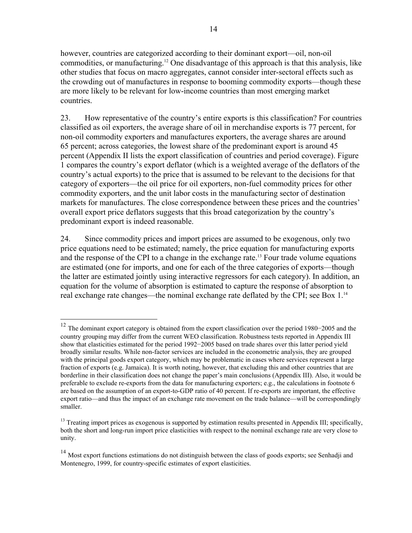however, countries are categorized according to their dominant export—oil, non-oil commodities, or manufacturing.12 One disadvantage of this approach is that this analysis, like other studies that focus on macro aggregates, cannot consider inter-sectoral effects such as the crowding out of manufactures in response to booming commodity exports—though these are more likely to be relevant for low-income countries than most emerging market countries.

23. How representative of the country's entire exports is this classification? For countries classified as oil exporters, the average share of oil in merchandise exports is 77 percent, for non-oil commodity exporters and manufactures exporters, the average shares are around 65 percent; across categories, the lowest share of the predominant export is around 45 percent (Appendix II lists the export classification of countries and period coverage). Figure 1 compares the country's export deflator (which is a weighted average of the deflators of the country's actual exports) to the price that is assumed to be relevant to the decisions for that category of exporters—the oil price for oil exporters, non-fuel commodity prices for other commodity exporters, and the unit labor costs in the manufacturing sector of destination markets for manufactures. The close correspondence between these prices and the countries' overall export price deflators suggests that this broad categorization by the country's predominant export is indeed reasonable.

24. Since commodity prices and import prices are assumed to be exogenous, only two price equations need to be estimated; namely, the price equation for manufacturing exports and the response of the CPI to a change in the exchange rate.<sup>13</sup> Four trade volume equations are estimated (one for imports, and one for each of the three categories of exports—though the latter are estimated jointly using interactive regressors for each category). In addition, an equation for the volume of absorption is estimated to capture the response of absorption to real exchange rate changes—the nominal exchange rate deflated by the CPI; see Box 1.<sup>14</sup>

 $\overline{a}$ 

<sup>12</sup> The dominant export category is obtained from the export classification over the period 1980−2005 and the country grouping may differ from the current WEO classification. Robustness tests reported in Appendix III show that elasticities estimated for the period 1992−2005 based on trade shares over this latter period yield broadly similar results. While non-factor services are included in the econometric analysis, they are grouped with the principal goods export category, which may be problematic in cases where services represent a large fraction of exports (e.g. Jamaica). It is worth noting, however, that excluding this and other countries that are borderline in their classification does not change the paper's main conclusions (Appendix III). Also, it would be preferable to exclude re-exports from the data for manufacturing exporters; e.g., the calculations in footnote 6 are based on the assumption of an export-to-GDP ratio of 40 percent. If re-exports are important, the effective export ratio—and thus the impact of an exchange rate movement on the trade balance—will be correspondingly smaller.

<sup>&</sup>lt;sup>13</sup> Treating import prices as exogenous is supported by estimation results presented in Appendix III; specifically, both the short and long-run import price elasticities with respect to the nominal exchange rate are very close to unity.

<sup>&</sup>lt;sup>14</sup> Most export functions estimations do not distinguish between the class of goods exports; see Senhadji and Montenegro, 1999, for country-specific estimates of export elasticities.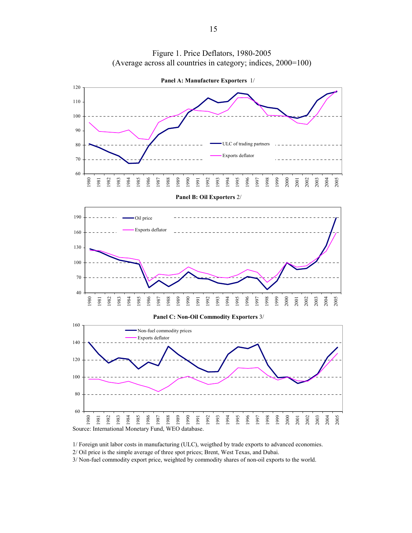



1/ Foreign unit labor costs in manufacturing (ULC), weigthed by trade exports to advanced economies.

2/ Oil price is the simple average of three spot prices; Brent, West Texas, and Dubai.

3/ Non-fuel commodity export price, weighted by commodity shares of non-oil exports to the world.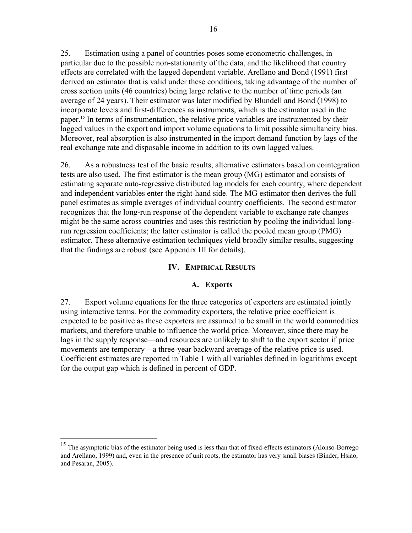25. Estimation using a panel of countries poses some econometric challenges, in particular due to the possible non-stationarity of the data, and the likelihood that country effects are correlated with the lagged dependent variable. Arellano and Bond (1991) first derived an estimator that is valid under these conditions, taking advantage of the number of cross section units (46 countries) being large relative to the number of time periods (an average of 24 years). Their estimator was later modified by Blundell and Bond (1998) to incorporate levels and first-differences as instruments, which is the estimator used in the paper.15 In terms of instrumentation, the relative price variables are instrumented by their lagged values in the export and import volume equations to limit possible simultaneity bias. Moreover, real absorption is also instrumented in the import demand function by lags of the real exchange rate and disposable income in addition to its own lagged values.

26. As a robustness test of the basic results, alternative estimators based on cointegration tests are also used. The first estimator is the mean group (MG) estimator and consists of estimating separate auto-regressive distributed lag models for each country, where dependent and independent variables enter the right-hand side. The MG estimator then derives the full panel estimates as simple averages of individual country coefficients. The second estimator recognizes that the long-run response of the dependent variable to exchange rate changes might be the same across countries and uses this restriction by pooling the individual longrun regression coefficients; the latter estimator is called the pooled mean group (PMG) estimator. These alternative estimation techniques yield broadly similar results, suggesting that the findings are robust (see Appendix III for details).

## **IV. EMPIRICAL RESULTS**

### **A. Exports**

27. Export volume equations for the three categories of exporters are estimated jointly using interactive terms. For the commodity exporters, the relative price coefficient is expected to be positive as these exporters are assumed to be small in the world commodities markets, and therefore unable to influence the world price. Moreover, since there may be lags in the supply response—and resources are unlikely to shift to the export sector if price movements are temporary—a three-year backward average of the relative price is used. Coefficient estimates are reported in Table 1 with all variables defined in logarithms except for the output gap which is defined in percent of GDP.

1

<sup>&</sup>lt;sup>15</sup> The asymptotic bias of the estimator being used is less than that of fixed-effects estimators (Alonso-Borrego and Arellano, 1999) and, even in the presence of unit roots, the estimator has very small biases (Binder, Hsiao, and Pesaran, 2005).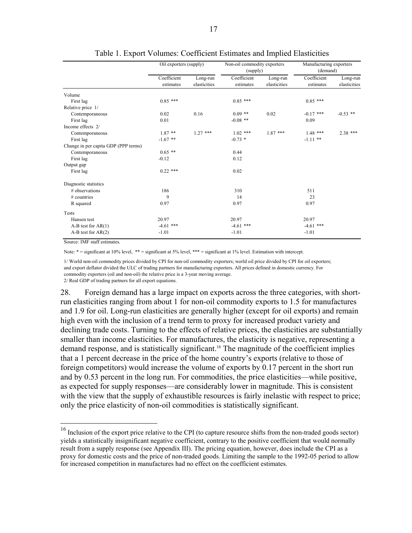|                                      | Oil exporters (supply)   |                          | Non-oil commodity exporters<br>(supply) |                          | Manufacturing exporters<br>(demand) |                          |
|--------------------------------------|--------------------------|--------------------------|-----------------------------------------|--------------------------|-------------------------------------|--------------------------|
|                                      | Coefficient<br>estimates | Long-run<br>elasticities | Coefficient<br>estimates                | Long-run<br>elasticities | Coefficient<br>estimates            | Long-run<br>elasticities |
| Volume                               |                          |                          |                                         |                          |                                     |                          |
| First lag                            | $0.85$ ***               |                          | $0.85$ ***                              |                          | $0.85$ ***                          |                          |
| Relative price 1/                    |                          |                          |                                         |                          |                                     |                          |
| Contemporaneous                      | 0.02                     | 0.16                     | $0.09$ **                               | 0.02                     | $-0.17$ ***                         | $-0.53$ **               |
| First lag                            | 0.01                     |                          | $-0.08$ **                              |                          | 0.09                                |                          |
| Income effects 2/                    |                          |                          |                                         |                          |                                     |                          |
| Contemporaneous                      | $1.87**$                 | $1.27$ ***               | $1.02$ ***                              | $1.87$ ***               | $1.48$ ***                          | 2.38 ***                 |
| First lag                            | $-1.67$ **               |                          | $-0.73$ *                               |                          | $-1.11$ **                          |                          |
| Change in per capita GDP (PPP terms) |                          |                          |                                         |                          |                                     |                          |
| Contemporaneous                      | $0.65$ **                |                          | 0.44                                    |                          |                                     |                          |
| First lag                            | $-0.12$                  |                          | 0.12                                    |                          |                                     |                          |
| Output gap                           |                          |                          |                                         |                          |                                     |                          |
| First lag                            | $0.22$ ***               |                          | 0.02                                    |                          |                                     |                          |
| Diagnostic statistics                |                          |                          |                                         |                          |                                     |                          |
| # observations                       | 186                      |                          | 310                                     |                          | 511                                 |                          |
| $#$ countries                        | 9                        |                          | 14                                      |                          | 23                                  |                          |
| R squared                            | 0.97                     |                          | 0.97                                    |                          | 0.97                                |                          |
| Tests                                |                          |                          |                                         |                          |                                     |                          |
| Hansen test                          | 20.97                    |                          | 20.97                                   |                          | 20.97                               |                          |
| $A-B$ test for $AR(1)$               | $-4.61$ ***              |                          | $-4.61$ ***                             |                          | $-4.61$ ***                         |                          |
| $A-B$ test for $AR(2)$               | $-1.01$                  |                          | $-1.01$                                 |                          | $-1.01$                             |                          |

Table 1. Export Volumes: Coefficient Estimates and Implied Elasticities

Source: IMF staff estimates.

 $\overline{a}$ 

Note: \* = significant at 10% level, \*\* = significant at 5% level, \*\*\* = significant at 1% level. Estimation with intercept.

1/ World non-oil commodity prices divided by CPI for non-oil commodity exporters; world oil price divided by CPI for oil exporters; and export deflator divided the ULC of trading partners for manufacturing exporters. All prices defined in domestic currency. For commodity exporters (oil and non-oil) the relative price is a 3-year moving average. 2/ Real GDP of trading partners for all export equations.

28. Foreign demand has a large impact on exports across the three categories, with shortrun elasticities ranging from about 1 for non-oil commodity exports to 1.5 for manufactures and 1.9 for oil. Long-run elasticities are generally higher (except for oil exports) and remain high even with the inclusion of a trend term to proxy for increased product variety and declining trade costs. Turning to the effects of relative prices, the elasticities are substantially smaller than income elasticities. For manufactures, the elasticity is negative, representing a demand response, and is statistically significant.16 The magnitude of the coefficient implies that a 1 percent decrease in the price of the home country's exports (relative to those of foreign competitors) would increase the volume of exports by 0.17 percent in the short run and by 0.53 percent in the long run. For commodities, the price elasticities—while positive, as expected for supply responses—are considerably lower in magnitude. This is consistent with the view that the supply of exhaustible resources is fairly inelastic with respect to price; only the price elasticity of non-oil commodities is statistically significant.

 $16$  Inclusion of the export price relative to the CPI (to capture resource shifts from the non-traded goods sector) yields a statistically insignificant negative coefficient, contrary to the positive coefficient that would normally result from a supply response (see Appendix III). The pricing equation, however, does include the CPI as a proxy for domestic costs and the price of non-traded goods. Limiting the sample to the 1992-05 period to allow for increased competition in manufactures had no effect on the coefficient estimates.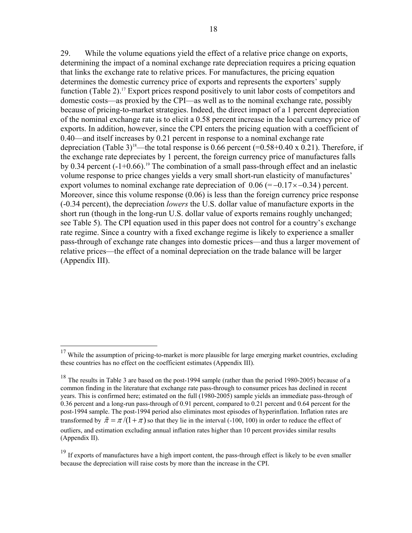29. While the volume equations yield the effect of a relative price change on exports, determining the impact of a nominal exchange rate depreciation requires a pricing equation that links the exchange rate to relative prices. For manufactures, the pricing equation determines the domestic currency price of exports and represents the exporters' supply function (Table 2).<sup>17</sup> Export prices respond positively to unit labor costs of competitors and domestic costs—as proxied by the CPI—as well as to the nominal exchange rate, possibly because of pricing-to-market strategies. Indeed, the direct impact of a 1 percent depreciation of the nominal exchange rate is to elicit a 0.58 percent increase in the local currency price of exports. In addition, however, since the CPI enters the pricing equation with a coefficient of 0.40—and itself increases by 0.21 percent in response to a nominal exchange rate depreciation (Table 3)<sup>18</sup>—the total response is 0.66 percent (=0.58+0.40 x 0.21). Therefore, if the exchange rate depreciates by 1 percent, the foreign currency price of manufactures falls by 0.34 percent  $(-1+0.66)$ .<sup>19</sup> The combination of a small pass-through effect and an inelastic volume response to price changes yields a very small short-run elasticity of manufactures' export volumes to nominal exchange rate depreciation of  $0.06 (= -0.17 \times -0.34)$  percent. Moreover, since this volume response (0.06) is less than the foreign currency price response (-0.34 percent), the depreciation *lowers* the U.S. dollar value of manufacture exports in the short run (though in the long-run U.S. dollar value of exports remains roughly unchanged; see Table 5). The CPI equation used in this paper does not control for a country's exchange rate regime. Since a country with a fixed exchange regime is likely to experience a smaller pass-through of exchange rate changes into domestic prices—and thus a larger movement of relative prices—the effect of a nominal depreciation on the trade balance will be larger (Appendix III).

 $\overline{a}$ 

 $17$  While the assumption of pricing-to-market is more plausible for large emerging market countries, excluding these countries has no effect on the coefficient estimates (Appendix III).

<sup>&</sup>lt;sup>18</sup> The results in Table 3 are based on the post-1994 sample (rather than the period 1980-2005) because of a common finding in the literature that exchange rate pass-through to consumer prices has declined in recent years. This is confirmed here; estimated on the full (1980-2005) sample yields an immediate pass-through of 0.36 percent and a long-run pass-through of 0.91 percent, compared to 0.21 percent and 0.64 percent for the post-1994 sample. The post-1994 period also eliminates most episodes of hyperinflation. Inflation rates are transformed by  $\tilde{\pi} = \pi/(1 + \pi)$  so that they lie in the interval (-100, 100) in order to reduce the effect of outliers, and estimation excluding annual inflation rates higher than 10 percent provides similar results (Appendix II).

<sup>&</sup>lt;sup>19</sup> If exports of manufactures have a high import content, the pass-through effect is likely to be even smaller because the depreciation will raise costs by more than the increase in the CPI.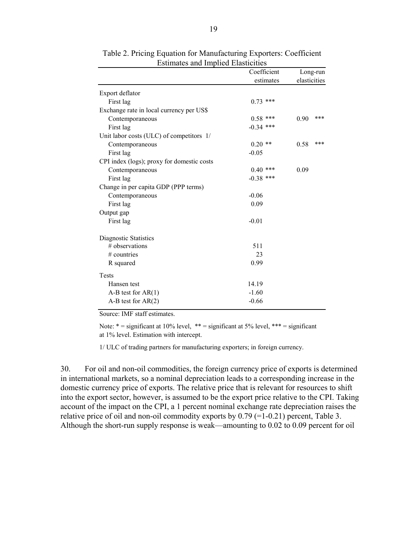|                                            | Coefficient |              | Long-run |  |  |
|--------------------------------------------|-------------|--------------|----------|--|--|
|                                            | estimates   | elasticities |          |  |  |
| Export deflator                            |             |              |          |  |  |
| First lag                                  | $0.73$ ***  |              |          |  |  |
| Exchange rate in local currency per US\$   |             |              |          |  |  |
| Contemporaneous                            | $0.58$ ***  | 0.90         | ***      |  |  |
| First lag                                  | $-0.34$ *** |              |          |  |  |
| Unit labor costs (ULC) of competitors 1/   |             |              |          |  |  |
| Contemporaneous                            | $0.20$ **   | 0.58         | ***      |  |  |
| First lag                                  | $-0.05$     |              |          |  |  |
| CPI index (logs); proxy for domestic costs |             |              |          |  |  |
| Contemporaneous                            | $0.40$ ***  | 0.09         |          |  |  |
| First lag                                  | $-0.38$ *** |              |          |  |  |
| Change in per capita GDP (PPP terms)       |             |              |          |  |  |
| Contemporaneous                            | $-0.06$     |              |          |  |  |
| First lag                                  | 0.09        |              |          |  |  |
| Output gap                                 |             |              |          |  |  |
| First lag                                  | $-0.01$     |              |          |  |  |
| Diagnostic Statistics                      |             |              |          |  |  |
| $#$ observations                           | 511         |              |          |  |  |
| $#$ countries                              | 23          |              |          |  |  |
| R squared                                  | 0.99        |              |          |  |  |
| Tests                                      |             |              |          |  |  |
| Hansen test                                | 14.19       |              |          |  |  |
| $A-B$ test for $AR(1)$                     | $-1.60$     |              |          |  |  |
| $A-B$ test for $AR(2)$                     | $-0.66$     |              |          |  |  |

Table 2. Pricing Equation for Manufacturing Exporters: Coefficient Estimates and Implied Elasticities

Source: IMF staff estimates.

Note:  $* =$  significant at 10% level,  $** =$  significant at 5% level,  $*** =$  significant at 1% level. Estimation with intercept.

1/ ULC of trading partners for manufacturing exporters; in foreign currency.

30. For oil and non-oil commodities, the foreign currency price of exports is determined in international markets, so a nominal depreciation leads to a corresponding increase in the domestic currency price of exports. The relative price that is relevant for resources to shift into the export sector, however, is assumed to be the export price relative to the CPI. Taking account of the impact on the CPI, a 1 percent nominal exchange rate depreciation raises the relative price of oil and non-oil commodity exports by  $0.79$  (=1-0.21) percent, Table 3. Although the short-run supply response is weak—amounting to 0.02 to 0.09 percent for oil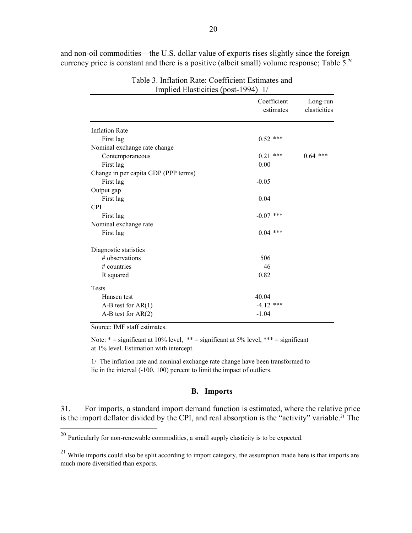and non-oil commodities—the U.S. dollar value of exports rises slightly since the foreign currency price is constant and there is a positive (albeit small) volume response; Table  $5.^{20}$ 

|                                      | Coefficient<br>estimates | Long-run<br>elasticities |
|--------------------------------------|--------------------------|--------------------------|
|                                      |                          |                          |
| <b>Inflation Rate</b>                |                          |                          |
| First lag                            | $0.52$ ***               |                          |
| Nominal exchange rate change         |                          |                          |
| Contemporaneous                      | $0.21$ ***               | $0.64$ ***               |
| First lag                            | 0.00                     |                          |
| Change in per capita GDP (PPP terms) |                          |                          |
| First lag                            | $-0.05$                  |                          |
| Output gap                           |                          |                          |
| First lag                            | 0.04                     |                          |
| <b>CPI</b>                           |                          |                          |
| First lag                            | $-0.07$ ***              |                          |
| Nominal exchange rate                |                          |                          |
| First lag                            | $0.04$ ***               |                          |
| Diagnostic statistics                |                          |                          |
| # observations                       | 506                      |                          |
| $#$ countries                        | 46                       |                          |
| R squared                            | 0.82                     |                          |
| Tests                                |                          |                          |
| Hansen test                          | 40.04                    |                          |
| $A-B$ test for $AR(1)$               | $-4.12$ ***              |                          |
| $A-B$ test for $AR(2)$               | $-1.04$                  |                          |

Table 3. Inflation Rate: Coefficient Estimates and Implied Elasticities (post-1994) 1/

Source: IMF staff estimates.

 $\overline{a}$ 

Note:  $* =$  significant at 10% level,  $** =$  significant at 5% level,  $*** =$  significant at 1% level. Estimation with intercept.

1/ The inflation rate and nominal exchange rate change have been transformed to lie in the interval (-100, 100) percent to limit the impact of outliers.

#### **B. Imports**

31. For imports, a standard import demand function is estimated, where the relative price is the import deflator divided by the CPI, and real absorption is the "activity" variable.<sup>21</sup> The

 $20$  Particularly for non-renewable commodities, a small supply elasticity is to be expected.

 $^{21}$  While imports could also be split according to import category, the assumption made here is that imports are much more diversified than exports.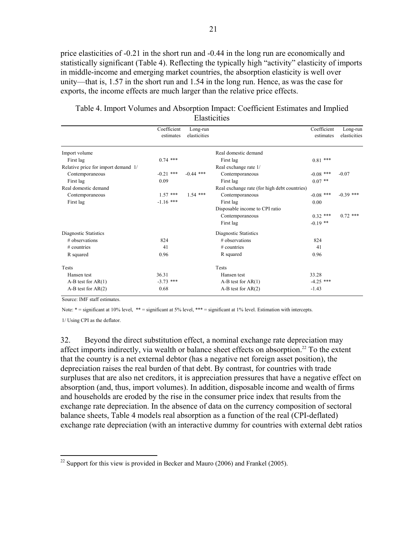price elasticities of -0.21 in the short run and -0.44 in the long run are economically and statistically significant (Table 4). Reflecting the typically high "activity" elasticity of imports in middle-income and emerging market countries, the absorption elasticity is well over unity—that is, 1.57 in the short run and 1.54 in the long run. Hence, as was the case for exports, the income effects are much larger than the relative price effects.

|                                     | Coefficient<br>estimates | Long-run<br>elasticities |                                              | Coefficient<br>estimates | Long-run<br>elasticities |
|-------------------------------------|--------------------------|--------------------------|----------------------------------------------|--------------------------|--------------------------|
| Import volume                       |                          |                          | Real domestic demand                         |                          |                          |
| First lag                           | $0.74$ ***               |                          | First lag                                    | $0.81$ ***               |                          |
| Relative price for import demand 1/ |                          |                          | Real exchange rate 1/                        |                          |                          |
| Contemporaneous                     | $-0.21$ ***              | $-0.44$ ***              | Contemporaneous                              | $-0.08$ ***              | $-0.07$                  |
| First lag                           | 0.09                     |                          | First lag                                    | $0.07$ **                |                          |
| Real domestic demand                |                          |                          | Real exchange rate (for high debt countries) |                          |                          |
| Contemporaneous                     | $1.57$ ***               | $1.54$ ***               | Contemporaneous                              | $-0.08$ ***              | $-0.39$ ***              |
| First lag                           | $-1.16$ ***              |                          | First lag                                    | 0.00                     |                          |
|                                     |                          |                          | Disposable income to CPI ratio               |                          |                          |
|                                     |                          |                          | Contemporaneous                              | $0.32$ ***               | $0.72$ ***               |
|                                     |                          |                          | First lag                                    | $-0.19$ **               |                          |
| Diagnostic Statistics               |                          |                          | Diagnostic Statistics                        |                          |                          |
| $#$ observations                    | 824                      |                          | $#$ observations                             | 824                      |                          |
| $#$ countries                       | 41                       |                          | $#$ countries                                | 41                       |                          |
| R squared                           | 0.96                     |                          | R squared                                    | 0.96                     |                          |
| <b>Tests</b>                        |                          |                          | <b>Tests</b>                                 |                          |                          |
| Hansen test                         | 36.31                    |                          | Hansen test                                  | 33.28                    |                          |
| $A-B$ test for $AR(1)$              | $-3.73$ ***              |                          | $A-B$ test for $AR(1)$                       | $-4.25$ ***              |                          |
| $A-B$ test for $AR(2)$              | 0.68                     |                          | $A-B$ test for $AR(2)$                       | $-1.43$                  |                          |

Table 4. Import Volumes and Absorption Impact: Coefficient Estimates and Implied **Elasticities** 

Source: IMF staff estimates.

Note: \* = significant at 10% level, \*\* = significant at 5% level, \*\*\* = significant at 1% level. Estimation with intercepts.

1/ Using CPI as the deflator.

1

32. Beyond the direct substitution effect, a nominal exchange rate depreciation may affect imports indirectly, via wealth or balance sheet effects on absorption.<sup>22</sup> To the extent that the country is a net external debtor (has a negative net foreign asset position), the depreciation raises the real burden of that debt. By contrast, for countries with trade surpluses that are also net creditors, it is appreciation pressures that have a negative effect on absorption (and, thus, import volumes). In addition, disposable income and wealth of firms and households are eroded by the rise in the consumer price index that results from the exchange rate depreciation. In the absence of data on the currency composition of sectoral balance sheets, Table 4 models real absorption as a function of the real (CPI-deflated) exchange rate depreciation (with an interactive dummy for countries with external debt ratios

 $^{22}$  Support for this view is provided in Becker and Mauro (2006) and Frankel (2005).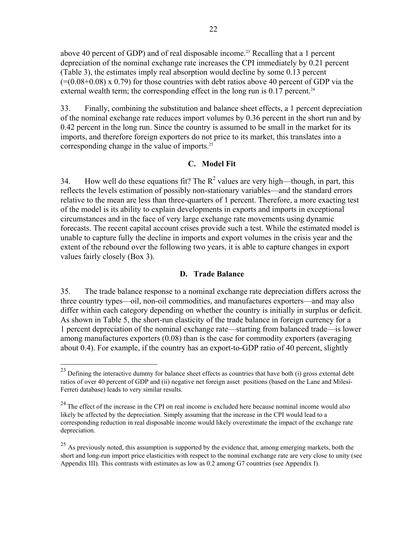above 40 percent of GDP) and of real disposable income.<sup>23</sup> Recalling that a 1 percent depreciation of the nominal exchange rate increases the CPI immediately by 0.21 percent (Table 3), the estimates imply real absorption would decline by some 0.13 percent  $(=(0.08+0.08)$  x 0.79) for those countries with debt ratios above 40 percent of GDP via the external wealth term; the corresponding effect in the long run is  $0.17$  percent.<sup>24</sup>

33. Finally, combining the substitution and balance sheet effects, a 1 percent depreciation of the nominal exchange rate reduces import volumes by 0.36 percent in the short run and by 0.42 percent in the long run. Since the country is assumed to be small in the market for its imports, and therefore foreign exporters do not price to its market, this translates into a corresponding change in the value of imports.<sup>25</sup>

## **C. Model Fit**

34. How well do these equations fit? The  $R^2$  values are very high—though, in part, this reflects the levels estimation of possibly non-stationary variables—and the standard errors relative to the mean are less than three-quarters of 1 percent. Therefore, a more exacting test of the model is its ability to explain developments in exports and imports in exceptional circumstances and in the face of very large exchange rate movements using dynamic forecasts. The recent capital account crises provide such a test. While the estimated model is unable to capture fully the decline in imports and export volumes in the crisis year and the extent of the rebound over the following two years, it is able to capture changes in export values fairly closely (Box 3).

## **D. Trade Balance**

35. The trade balance response to a nominal exchange rate depreciation differs across the three country types—oil, non-oil commodities, and manufactures exporters—and may also differ within each category depending on whether the country is initially in surplus or deficit. As shown in Table 5, the short-run elasticity of the trade balance in foreign currency for a 1 percent depreciation of the nominal exchange rate—starting from balanced trade—is lower among manufactures exporters (0.08) than is the case for commodity exporters (averaging about 0.4). For example, if the country has an export-to-GDP ratio of 40 percent, slightly

1

 $^{23}$  Defining the interactive dummy for balance sheet effects as countries that have both (i) gross external debt ratios of over 40 percent of GDP and (ii) negative net foreign asset positions (based on the Lane and Milesi-Ferreti database) leads to very similar results.

 $24$  The effect of the increase in the CPI on real income is excluded here because nominal income would also likely be affected by the depreciation. Simply assuming that the increase in the CPI would lead to a corresponding reduction in real disposable income would likely overestimate the impact of the exchange rate depreciation.

 $^{25}$  As previously noted, this assumption is supported by the evidence that, among emerging markets, both the short and long-run import price elasticities with respect to the nominal exchange rate are very close to unity (see Appendix III). This contrasts with estimates as low as 0.2 among G7 countries (see Appendix I).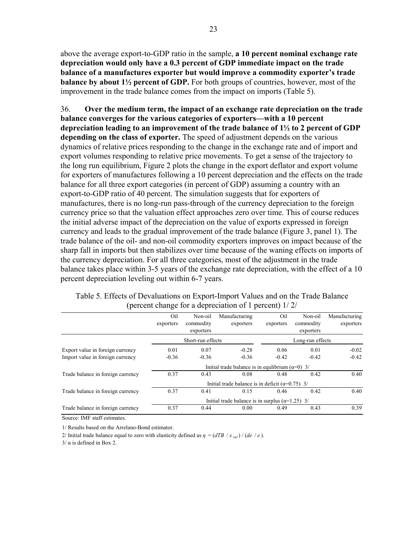above the average export-to-GDP ratio in the sample, **a 10 percent nominal exchange rate depreciation would only have a 0.3 percent of GDP immediate impact on the trade balance of a manufactures exporter but would improve a commodity exporter's trade balance by about 1½ percent of GDP.** For both groups of countries, however, most of the improvement in the trade balance comes from the impact on imports (Table 5).

36. **Over the medium term, the impact of an exchange rate depreciation on the trade balance converges for the various categories of exporters—with a 10 percent depreciation leading to an improvement of the trade balance of 1½ to 2 percent of GDP depending on the class of exporter.** The speed of adjustment depends on the various dynamics of relative prices responding to the change in the exchange rate and of import and export volumes responding to relative price movements. To get a sense of the trajectory to the long run equilibrium, Figure 2 plots the change in the export deflator and export volume for exporters of manufactures following a 10 percent depreciation and the effects on the trade balance for all three export categories (in percent of GDP) assuming a country with an export-to-GDP ratio of 40 percent. The simulation suggests that for exporters of manufactures, there is no long-run pass-through of the currency depreciation to the foreign currency price so that the valuation effect approaches zero over time. This of course reduces the initial adverse impact of the depreciation on the value of exports expressed in foreign currency and leads to the gradual improvement of the trade balance (Figure 3, panel 1). The trade balance of the oil- and non-oil commodity exporters improves on impact because of the sharp fall in imports but then stabilizes over time because of the waning effects on imports of the currency depreciation. For all three categories, most of the adjustment in the trade balance takes place within 3-5 years of the exchange rate depreciation, with the effect of a 10 percent depreciation leveling out within 6-7 years.

|                                   | O <sub>il</sub> | Non-oil           | Manufacturing                                             | Oil       | Non-oil          | Manufacturing |
|-----------------------------------|-----------------|-------------------|-----------------------------------------------------------|-----------|------------------|---------------|
|                                   | exporters       | commodity         | exporters                                                 | exporters | commodity        | exporters     |
|                                   |                 | exporters         |                                                           |           | exporters        |               |
|                                   |                 | Short-run effects |                                                           |           | Long-run effects |               |
| Export value in foreign currency  | 0.01            | 0.07              | $-0.28$                                                   | 0.06      | 0.01             | $-0.02$       |
| Import value in foreign currency  | $-0.36$         | $-0.36$           | $-0.36$                                                   | $-0.42$   | $-0.42$          | $-0.42$       |
|                                   |                 |                   | Initial trade balance is in equilibrium ( $\alpha=0$ ) 3/ |           |                  |               |
| Trade balance in foreign currency | 0.37            | 0.43              | 0.08                                                      | 0.48      | 0.42             | 0.40          |
|                                   |                 |                   | Initial trade balance is in deficit ( $\alpha$ =0.75) 3/  |           |                  |               |
| Trade balance in foreign currency | 0.37            | 0.41              | 0.15                                                      | 0.46      | 0.42             | 0.40          |
|                                   |                 |                   | Initial trade balance is in surplus ( $\alpha$ =1.25) 3/  |           |                  |               |
| Trade balance in foreign currency | 0.37            | 0.44              | 0.00                                                      | 0.49      | 0.43             | 0.39          |

Table 5. Effects of Devaluations on Export-Import Values and on the Trade Balance (percent change for a depreciation of 1 percent) 1/ 2/

Source: IMF staff estimates.

1/ Results based on the Arrelano-Bond estimator.

2/ Initial trade balance equal to zero with elasticity defined as  $\eta = (dTB / x_{val}) / (de / e)$ .

 $3/\alpha$  is defined in Box 2.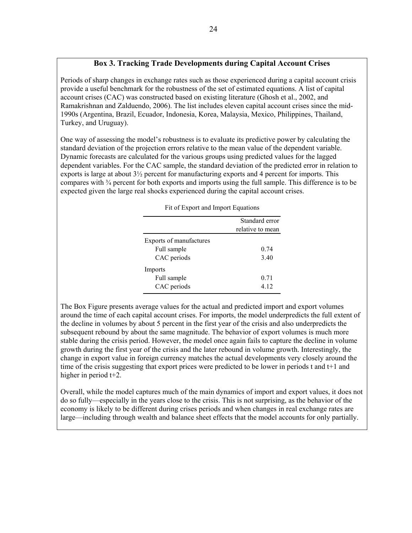## **Box 3. Tracking Trade Developments during Capital Account Crises**

Periods of sharp changes in exchange rates such as those experienced during a capital account crisis provide a useful benchmark for the robustness of the set of estimated equations. A list of capital account crises (CAC) was constructed based on existing literature (Ghosh et al., 2002, and Ramakrishnan and Zalduendo, 2006). The list includes eleven capital account crises since the mid-1990s (Argentina, Brazil, Ecuador, Indonesia, Korea, Malaysia, Mexico, Philippines, Thailand, Turkey, and Uruguay).

One way of assessing the model's robustness is to evaluate its predictive power by calculating the standard deviation of the projection errors relative to the mean value of the dependent variable. Dynamic forecasts are calculated for the various groups using predicted values for the lagged dependent variables. For the CAC sample, the standard deviation of the predicted error in relation to exports is large at about  $3\frac{1}{2}$  percent for manufacturing exports and 4 percent for imports. This compares with  $\frac{3}{4}$  percent for both exports and imports using the full sample. This difference is to be expected given the large real shocks experienced during the capital account crises.

|                         | Standard error<br>relative to mean |
|-------------------------|------------------------------------|
| Exports of manufactures |                                    |
|                         |                                    |
| Full sample             | 0.74                               |
| CAC periods             | 3.40                               |
| Imports                 |                                    |
| Full sample             | 0.71                               |
| CAC periods             | 4.12                               |

Fit of Export and Import Equations

The Box Figure presents average values for the actual and predicted import and export volumes around the time of each capital account crises. For imports, the model underpredicts the full extent of the decline in volumes by about 5 percent in the first year of the crisis and also underpredicts the subsequent rebound by about the same magnitude. The behavior of export volumes is much more stable during the crisis period. However, the model once again fails to capture the decline in volume growth during the first year of the crisis and the later rebound in volume growth. Interestingly, the change in export value in foreign currency matches the actual developments very closely around the time of the crisis suggesting that export prices were predicted to be lower in periods t and t+1 and higher in period t+2.

Overall, while the model captures much of the main dynamics of import and export values, it does not do so fully—especially in the years close to the crisis. This is not surprising, as the behavior of the economy is likely to be different during crises periods and when changes in real exchange rates are large—including through wealth and balance sheet effects that the model accounts for only partially.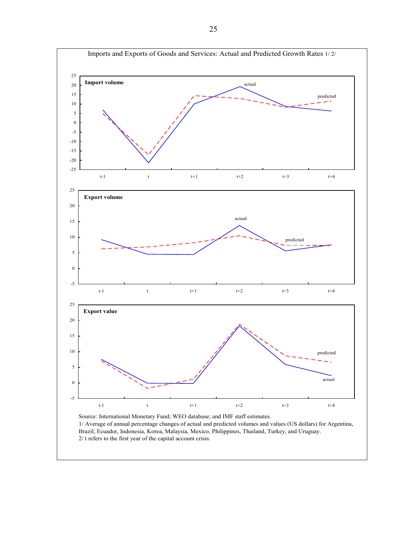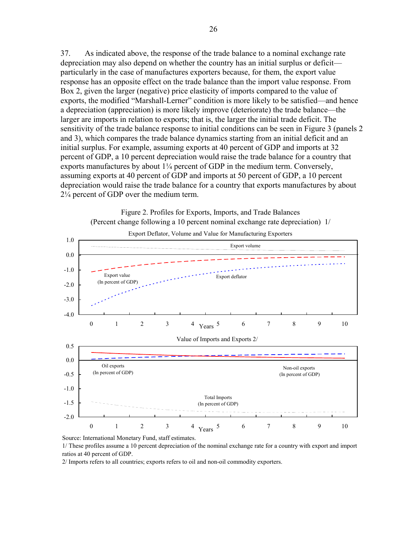37. As indicated above, the response of the trade balance to a nominal exchange rate depreciation may also depend on whether the country has an initial surplus or deficit particularly in the case of manufactures exporters because, for them, the export value response has an opposite effect on the trade balance than the import value response. From Box 2, given the larger (negative) price elasticity of imports compared to the value of exports, the modified "Marshall-Lerner" condition is more likely to be satisfied—and hence a depreciation (appreciation) is more likely improve (deteriorate) the trade balance—the larger are imports in relation to exports; that is, the larger the initial trade deficit. The sensitivity of the trade balance response to initial conditions can be seen in Figure 3 (panels 2 and 3), which compares the trade balance dynamics starting from an initial deficit and an initial surplus. For example, assuming exports at 40 percent of GDP and imports at 32 percent of GDP, a 10 percent depreciation would raise the trade balance for a country that exports manufactures by about 1¼ percent of GDP in the medium term. Conversely, assuming exports at 40 percent of GDP and imports at 50 percent of GDP, a 10 percent depreciation would raise the trade balance for a country that exports manufactures by about 2¼ percent of GDP over the medium term.



Source: International Monetary Fund, staff estimates.

1/ These profiles assume a 10 percent depreciation of the nominal exchange rate for a country with export and import ratios at 40 percent of GDP.

2/ Imports refers to all countries; exports refers to oil and non-oil commodity exporters.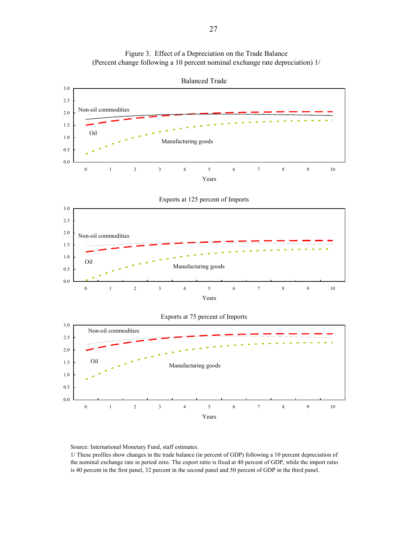



Source: International Monetary Fund, staff estimates.

1/ These profiles show changes in the trade balance (in percent of GDP) following a 10 percent depreciation of the nominal exchange rate in period zero. The export ratio is fixed at 40 percent of GDP, while the import ratio is 40 percent in the first panel, 32 percent in the second panel and 50 percent of GDP in the third panel.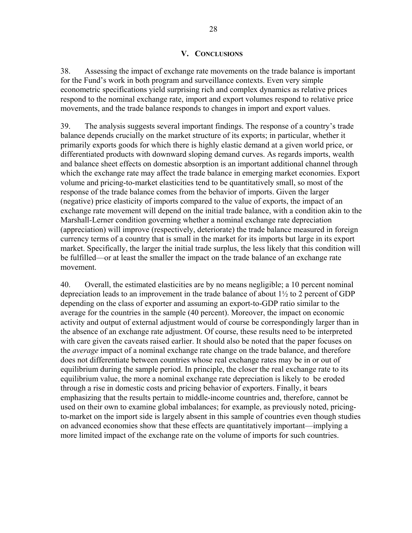## **V. CONCLUSIONS**

38. Assessing the impact of exchange rate movements on the trade balance is important for the Fund's work in both program and surveillance contexts. Even very simple econometric specifications yield surprising rich and complex dynamics as relative prices respond to the nominal exchange rate, import and export volumes respond to relative price movements, and the trade balance responds to changes in import and export values.

39. The analysis suggests several important findings. The response of a country's trade balance depends crucially on the market structure of its exports; in particular, whether it primarily exports goods for which there is highly elastic demand at a given world price, or differentiated products with downward sloping demand curves. As regards imports, wealth and balance sheet effects on domestic absorption is an important additional channel through which the exchange rate may affect the trade balance in emerging market economies. Export volume and pricing-to-market elasticities tend to be quantitatively small, so most of the response of the trade balance comes from the behavior of imports. Given the larger (negative) price elasticity of imports compared to the value of exports, the impact of an exchange rate movement will depend on the initial trade balance, with a condition akin to the Marshall-Lerner condition governing whether a nominal exchange rate depreciation (appreciation) will improve (respectively, deteriorate) the trade balance measured in foreign currency terms of a country that is small in the market for its imports but large in its export market. Specifically, the larger the initial trade surplus, the less likely that this condition will be fulfilled—or at least the smaller the impact on the trade balance of an exchange rate movement.

40. Overall, the estimated elasticities are by no means negligible; a 10 percent nominal depreciation leads to an improvement in the trade balance of about 1½ to 2 percent of GDP depending on the class of exporter and assuming an export-to-GDP ratio similar to the average for the countries in the sample (40 percent). Moreover, the impact on economic activity and output of external adjustment would of course be correspondingly larger than in the absence of an exchange rate adjustment. Of course, these results need to be interpreted with care given the caveats raised earlier. It should also be noted that the paper focuses on the *average* impact of a nominal exchange rate change on the trade balance, and therefore does not differentiate between countries whose real exchange rates may be in or out of equilibrium during the sample period. In principle, the closer the real exchange rate to its equilibrium value, the more a nominal exchange rate depreciation is likely to be eroded through a rise in domestic costs and pricing behavior of exporters. Finally, it bears emphasizing that the results pertain to middle-income countries and, therefore, cannot be used on their own to examine global imbalances; for example, as previously noted, pricingto-market on the import side is largely absent in this sample of countries even though studies on advanced economies show that these effects are quantitatively important—implying a more limited impact of the exchange rate on the volume of imports for such countries.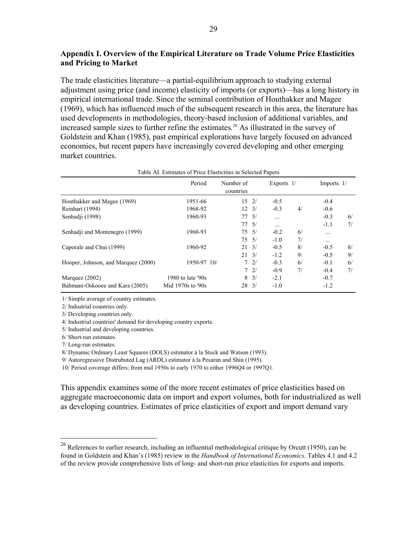## **Appendix I. Overview of the Empirical Literature on Trade Volume Price Elasticities and Pricing to Market**

The trade elasticities literature—a partial-equilibrium approach to studying external adjustment using price (and income) elasticity of imports (or exports)—has a long history in empirical international trade. Since the seminal contribution of Houthakker and Magee (1969), which has influenced much of the subsequent research in this area, the literature has used developments in methodologies, theory-based inclusion of additional variables, and increased sample sizes to further refine the estimates*.* <sup>26</sup> As illustrated in the survey of Goldstein and Khan (1985), past empirical explorations have largely focused on advanced economies, but recent papers have increasingly covered developing and other emerging market countries.

|                                     | Period            | Number of<br>countries |               | Exports $1/$ |    | Imports $1/$ |    |
|-------------------------------------|-------------------|------------------------|---------------|--------------|----|--------------|----|
| Houthakker and Magee (1969)         | 1951-66           | $15 \t2/$              |               | $-0.5$       |    | $-0.4$       |    |
| Reinhart (1994)                     | 1968-92           | $12 \t3/$              |               | $-0.3$       | 4/ | $-0.6$       |    |
| Senhadii (1998)                     | 1960-93           | 77.5/                  |               | $\cdots$     |    | $-0.3$       | 6/ |
|                                     |                   | 77/5/                  |               | $\cdots$     |    | $-1.1$       | 7/ |
| Senhadii and Montenegro (1999)      | 1960-93           | $75 \frac{5}{1}$       |               | $-0.2$       | 6/ |              |    |
|                                     |                   | $75 \frac{5}{1}$       |               | $-1.0$       | 7/ | $\cdots$     |    |
| Caporale and Chui (1999)            | 1960-92           | 21                     | $\frac{3}{2}$ | $-0.5$       | 8/ | $-0.5$       | 8/ |
|                                     |                   | 21                     | $\frac{3}{2}$ | $-1.2$       | 9/ | $-0.5$       | 9/ |
| Hooper, Johnson, and Marquez (2000) | 1950-97 10/       |                        | 72/           | $-0.3$       | 6/ | $-0.1$       | 6/ |
|                                     |                   |                        | 72/           | $-0.9$       | 7/ | $-0.4$       | 7/ |
| Marquez $(2002)$                    | 1980 to late '90s | 8                      | $\frac{3}{2}$ | $-2.1$       |    | $-0.7$       |    |
| Bahmani-Oskooee and Kara (2005)     | Mid 1970s to '90s | 28                     | $\frac{3}{2}$ | $-1.0$       |    | $-1.2$       |    |

#### Table AI. Estimates of Price Elasticities in Selected Papers

1/ Simple average of country estimates.

2/ Industrial countries only.

3/ Developing countries only.

4/ Industrial countries' demand for developing country exports.

5/ Industrial and developing countries.

6/ Short-run estimates.

7/ Long-run estimates.

 $\overline{a}$ 

8/ Dynamic Ordinary Least Squares (DOLS) estimator à la Stock and Watson (1993).

9/ Autoregressive Distrubuted Lag (ARDL) estimator à la Pesaran and Shin (1995).

10/ Period coverage differs; from mid 1950s to early 1970 to either 1996Q4 or 1997Q1.

This appendix examines some of the more recent estimates of price elasticities based on aggregate macroeconomic data on import and export volumes, both for industrialized as well as developing countries. Estimates of price elasticities of export and import demand vary

<sup>&</sup>lt;sup>26</sup> References to earlier research, including an influential methodological critique by Orcutt (1950), can be found in Goldstein and Khan's (1985) review in the *Handbook of International Economics*. Tables 4.1 and 4.2 of the review provide comprehensive lists of long- and short-run price elasticities for exports and imports.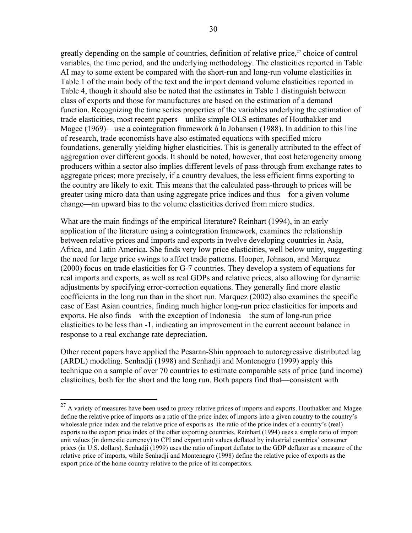greatly depending on the sample of countries, definition of relative price, $27$  choice of control variables, the time period, and the underlying methodology. The elasticities reported in Table AI may to some extent be compared with the short-run and long-run volume elasticities in Table 1 of the main body of the text and the import demand volume elasticities reported in Table 4, though it should also be noted that the estimates in Table 1 distinguish between class of exports and those for manufactures are based on the estimation of a demand function. Recognizing the time series properties of the variables underlying the estimation of trade elasticities, most recent papers—unlike simple OLS estimates of Houthakker and Magee (1969)—use a cointegration framework à la Johansen (1988). In addition to this line of research, trade economists have also estimated equations with specified micro foundations, generally yielding higher elasticities. This is generally attributed to the effect of aggregation over different goods. It should be noted, however, that cost heterogeneity among producers within a sector also implies different levels of pass-through from exchange rates to aggregate prices; more precisely, if a country devalues, the less efficient firms exporting to the country are likely to exit. This means that the calculated pass-through to prices will be greater using micro data than using aggregate price indices and thus—for a given volume change—an upward bias to the volume elasticities derived from micro studies.

What are the main findings of the empirical literature? Reinhart (1994), in an early application of the literature using a cointegration framework, examines the relationship between relative prices and imports and exports in twelve developing countries in Asia, Africa, and Latin America. She finds very low price elasticities, well below unity, suggesting the need for large price swings to affect trade patterns. Hooper, Johnson, and Marquez (2000) focus on trade elasticities for G-7 countries. They develop a system of equations for real imports and exports, as well as real GDPs and relative prices, also allowing for dynamic adjustments by specifying error-correction equations. They generally find more elastic coefficients in the long run than in the short run. Marquez (2002) also examines the specific case of East Asian countries, finding much higher long-run price elasticities for imports and exports. He also finds—with the exception of Indonesia—the sum of long-run price elasticities to be less than -1, indicating an improvement in the current account balance in response to a real exchange rate depreciation.

Other recent papers have applied the Pesaran-Shin approach to autoregressive distributed lag (ARDL) modeling. Senhadji (1998) and Senhadji and Montenegro (1999) apply this technique on a sample of over 70 countries to estimate comparable sets of price (and income) elasticities, both for the short and the long run. Both papers find that—consistent with

 $\overline{a}$ 

 $^{27}$  A variety of measures have been used to proxy relative prices of imports and exports. Houthakker and Magee define the relative price of imports as a ratio of the price index of imports into a given country to the country's wholesale price index and the relative price of exports as the ratio of the price index of a country's (real) exports to the export price index of the other exporting countries. Reinhart (1994) uses a simple ratio of import unit values (in domestic currency) to CPI and export unit values deflated by industrial countries' consumer prices (in U.S. dollars). Senhadji (1999) uses the ratio of import deflator to the GDP deflator as a measure of the relative price of imports, while Senhadji and Montenegro (1998) define the relative price of exports as the export price of the home country relative to the price of its competitors.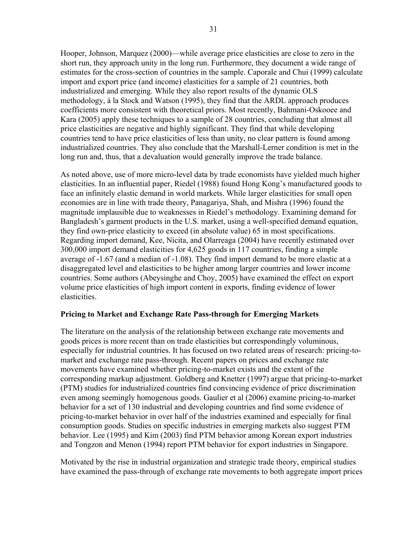Hooper, Johnson, Marquez (2000)—while average price elasticities are close to zero in the short run, they approach unity in the long run. Furthermore, they document a wide range of estimates for the cross-section of countries in the sample. Caporale and Chui (1999) calculate import and export price (and income) elasticities for a sample of 21 countries, both industrialized and emerging. While they also report results of the dynamic OLS methodology, à la Stock and Watson (1995), they find that the ARDL approach produces coefficients more consistent with theoretical priors. Most recently, Bahmani-Oskooee and Kara (2005) apply these techniques to a sample of 28 countries, concluding that almost all price elasticities are negative and highly significant. They find that while developing countries tend to have price elasticities of less than unity, no clear pattern is found among industrialized countries. They also conclude that the Marshall-Lerner condition is met in the long run and, thus, that a devaluation would generally improve the trade balance.

As noted above, use of more micro-level data by trade economists have yielded much higher elasticities. In an influential paper, Riedel (1988) found Hong Kong's manufactured goods to face an infinitely elastic demand in world markets. While larger elasticities for small open economies are in line with trade theory, Panagariya, Shah, and Mishra (1996) found the magnitude implausible due to weaknesses in Riedel's methodology. Examining demand for Bangladesh's garment products in the U.S. market, using a well-specified demand equation, they find own-price elasticity to exceed (in absolute value) 65 in most specifications. Regarding import demand, Kee, Nicita, and Olarreaga (2004) have recently estimated over 300,000 import demand elasticities for 4,625 goods in 117 countries, finding a simple average of -1.67 (and a median of -1.08). They find import demand to be more elastic at a disaggregated level and elasticities to be higher among larger countries and lower income countries. Some authors (Abeysinghe and Choy, 2005) have examined the effect on export volume price elasticities of high import content in exports, finding evidence of lower elasticities.

## **Pricing to Market and Exchange Rate Pass-through for Emerging Markets**

The literature on the analysis of the relationship between exchange rate movements and goods prices is more recent than on trade elasticities but correspondingly voluminous, especially for industrial countries. It has focused on two related areas of research: pricing-tomarket and exchange rate pass-through. Recent papers on prices and exchange rate movements have examined whether pricing-to-market exists and the extent of the corresponding markup adjustment. Goldberg and Knetter (1997) argue that pricing-to-market (PTM) studies for industrialized countries find convincing evidence of price discrimination even among seemingly homogenous goods. Gaulier et al (2006) examine pricing-to-market behavior for a set of 130 industrial and developing countries and find some evidence of pricing-to-market behavior in over half of the industries examined and especially for final consumption goods. Studies on specific industries in emerging markets also suggest PTM behavior. Lee (1995) and Kim (2003) find PTM behavior among Korean export industries and Tongzon and Menon (1994) report PTM behavior for export industries in Singapore.

Motivated by the rise in industrial organization and strategic trade theory, empirical studies have examined the pass-through of exchange rate movements to both aggregate import prices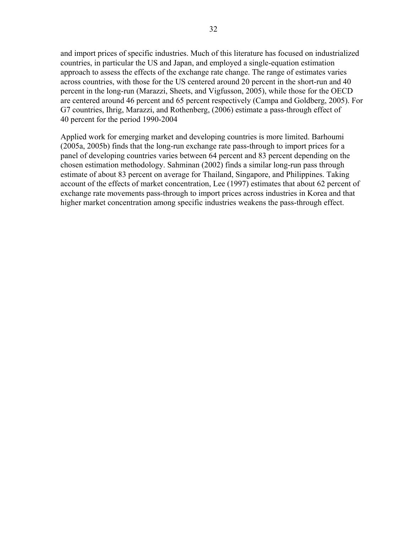and import prices of specific industries. Much of this literature has focused on industrialized countries, in particular the US and Japan, and employed a single-equation estimation approach to assess the effects of the exchange rate change. The range of estimates varies across countries, with those for the US centered around 20 percent in the short-run and 40 percent in the long-run (Marazzi, Sheets, and Vigfusson, 2005), while those for the OECD are centered around 46 percent and 65 percent respectively (Campa and Goldberg, 2005). For G7 countries, Ihrig, Marazzi, and Rothenberg, (2006) estimate a pass-through effect of 40 percent for the period 1990-2004

Applied work for emerging market and developing countries is more limited. Barhoumi (2005a, 2005b) finds that the long-run exchange rate pass-through to import prices for a panel of developing countries varies between 64 percent and 83 percent depending on the chosen estimation methodology. Sahminan (2002) finds a similar long-run pass through estimate of about 83 percent on average for Thailand, Singapore, and Philippines. Taking account of the effects of market concentration, Lee (1997) estimates that about 62 percent of exchange rate movements pass-through to import prices across industries in Korea and that higher market concentration among specific industries weakens the pass-through effect.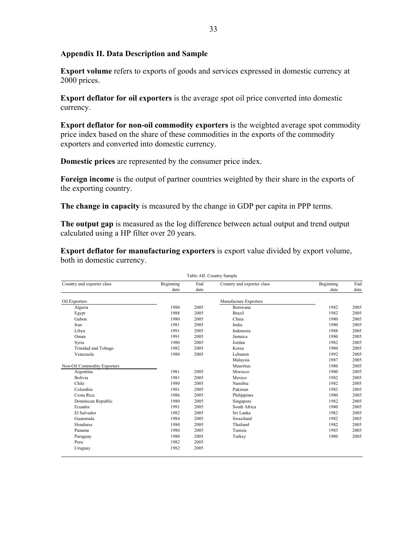## **Appendix II. Data Description and Sample**

**Export volume** refers to exports of goods and services expressed in domestic currency at 2000 prices.

**Export deflator for oil exporters** is the average spot oil price converted into domestic currency.

**Export deflator for non-oil commodity exporters** is the weighted average spot commodity price index based on the share of these commodities in the exports of the commodity exporters and converted into domestic currency.

**Domestic prices** are represented by the consumer price index.

**Foreign income** is the output of partner countries weighted by their share in the exports of the exporting country.

**The change in capacity** is measured by the change in GDP per capita in PPP terms.

**The output gap** is measured as the log difference between actual output and trend output calculated using a HP filter over 20 years.

**Export deflator for manufacturing exporters** is export value divided by export volume, both in domestic currency.

|                             |           |      | Table AII. Country Sample  |           |      |
|-----------------------------|-----------|------|----------------------------|-----------|------|
| Country and exporter class  | Beginning | End  | Country and exporter class | Beginning | End  |
|                             | date      | date |                            | date      | date |
| Oil Exporters               |           |      | Manufacture Exporters      |           |      |
| Algeria                     | 1980      | 2005 | Botswana                   | 1982      | 2005 |
| Egypt                       | 1988      | 2005 | <b>Brazil</b>              | 1982      | 2005 |
| Gabon                       | 1980      | 2005 | China                      | 1980      | 2005 |
| Iran                        | 1981      | 2005 | India                      | 1980      | 2005 |
| Libya                       | 1991      | 2005 | Indonesia                  | 1988      | 2005 |
| Oman                        | 1991      | 2005 | Jamaica                    | 1980      | 2005 |
| Syria                       | 1980      | 2005 | Jordan                     | 1982      | 2005 |
| Trinidad and Tobago         | 1982      | 2005 | Korea                      | 1980      | 2005 |
| Venezuela                   | 1980      | 2005 | Lebanon                    | 1992      | 2005 |
|                             |           |      | Malaysia                   | 1987      | 2005 |
| Non-Oil Commodity Exporters |           |      | Mauritius                  | 1980      | 2005 |
| Argentina                   | 1981      | 2005 | Morocco                    | 1980      | 2005 |
| Bolivia                     | 1981      | 2005 | Mexico                     | 1982      | 2005 |
| Chile                       | 1980      | 2005 | Namibia                    | 1982      | 2005 |
| Colombia                    | 1981      | 2005 | Pakistan                   | 1983      | 2005 |
| Costa Rica                  | 1986      | 2005 | Philippines                | 1980      | 2005 |
| Dominican Republic          | 1980      | 2005 | Singapore                  | 1982      | 2005 |
| Ecuador                     | 1991      | 2005 | South Africa               | 1980      | 2005 |
| El Salvador                 | 1982      | 2005 | Sri Lanka                  | 1982      | 2005 |
| Guatemala                   | 1984      | 2005 | Swaziland                  | 1982      | 2005 |
| Honduras                    | 1980      | 2005 | Thailand                   | 1982      | 2005 |
| Panama                      | 1980      | 2005 | Tunisia                    | 1983      | 2005 |
| Paraguay                    | 1980      | 2005 | Turkey                     | 1980      | 2005 |
| Peru                        | 1982      | 2005 |                            |           |      |
| Uruguay                     | 1982      | 2005 |                            |           |      |
|                             |           |      |                            |           |      |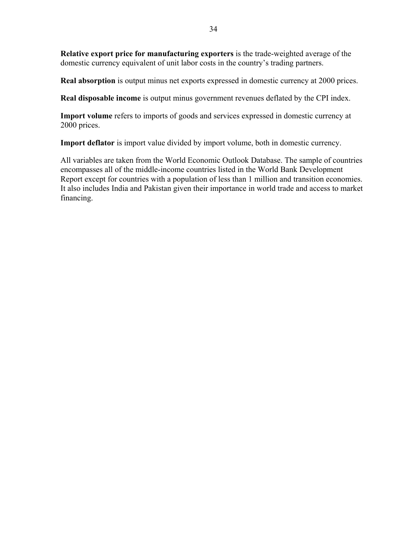**Relative export price for manufacturing exporters** is the trade-weighted average of the domestic currency equivalent of unit labor costs in the country's trading partners.

**Real absorption** is output minus net exports expressed in domestic currency at 2000 prices.

**Real disposable income** is output minus government revenues deflated by the CPI index.

**Import volume** refers to imports of goods and services expressed in domestic currency at 2000 prices.

**Import deflator** is import value divided by import volume, both in domestic currency.

All variables are taken from the World Economic Outlook Database. The sample of countries encompasses all of the middle-income countries listed in the World Bank Development Report except for countries with a population of less than 1 million and transition economies. It also includes India and Pakistan given their importance in world trade and access to market financing.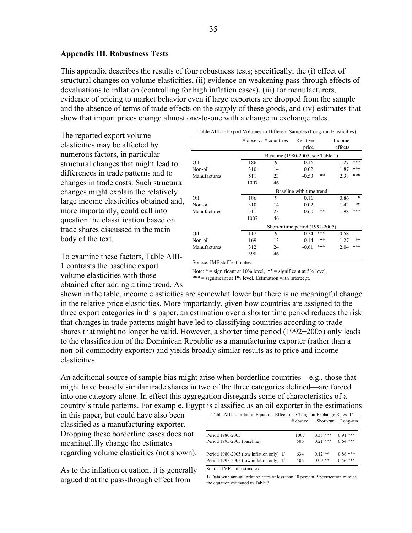#### **Appendix III. Robustness Tests**

This appendix describes the results of four robustness tests; specifically, the (i) effect of structural changes on volume elasticities, (ii) evidence on weakening pass-through effects of devaluations to inflation (controlling for high inflation cases), (iii) for manufacturers, evidence of pricing to market behavior even if large exporters are dropped from the sample and the absence of terms of trade effects on the supply of these goods, and (iv) estimates that show that import prices change almost one-to-one with a change in exchange rates.

The reported export volume elasticities may be affected by numerous factors, in particular structural changes that might lead to differences in trade patterns and to changes in trade costs. Such structural changes might explain the relatively large income elasticities obtained and, more importantly, could call into question the classification based on trade shares discussed in the main body of the text.

To examine these factors, Table AIII-1 contrasts the baseline export volume elasticities with those obtained after adding a time trend. As

|              |      | # observ. $#$ countries           | Relative<br>price        |     | Income<br>effects |        |
|--------------|------|-----------------------------------|--------------------------|-----|-------------------|--------|
|              |      | Baseline (1980-2005; see Table 1) |                          |     |                   |        |
| Oil          | 186  | 9                                 | 0.16                     |     | 1.27              | ***    |
| Non-oil      | 310  | 14                                | 0.02                     |     | 1.87              | ***    |
| Manufactures | 511  | 23                                | $-0.53$                  | **  | 2.38              | ***    |
|              | 1007 | 46                                |                          |     |                   |        |
|              |      |                                   | Baseline with time trend |     |                   |        |
| Oil          | 186  | 9                                 | 0.16                     |     | 0.86              | $\ast$ |
| Non-oil      | 310  | 14                                | 0.02                     |     | 1.42              | **     |
| Manufactures | 511  | 23                                | $-0.60$                  | **  | 1.98              | ***    |
|              | 1007 | 46                                |                          |     |                   |        |
|              |      | Shorter time period (1992-2005)   |                          |     |                   |        |
| Oil          | 117  | 9                                 | 0.24                     | *** | 0.58              |        |
| Non-oil      | 169  | 13                                | 0.14                     | **  | 1.27              | **     |
| Manufactures | 312  | 24                                | $-0.61$                  | *** | 2.04              | ***    |
|              | 598  | 46                                |                          |     |                   |        |

Table AIII-1. Export Volumes in Different Samples (Long-run Elasticities)

Source: IMF staff estimates.

Note:  $* =$  significant at 10% level,  $** =$  significant at 5% level, \*\*\* = significant at 1% level. Estimation with intercept.

shown in the table, income elasticities are somewhat lower but there is no meaningful change in the relative price elasticities. More importantly, given how countries are assigned to the three export categories in this paper, an estimation over a shorter time period reduces the risk that changes in trade patterns might have led to classifying countries according to trade shares that might no longer be valid. However, a shorter time period (1992−2005) only leads to the classification of the Dominican Republic as a manufacturing exporter (rather than a non-oil commodity exporter) and yields broadly similar results as to price and income elasticities.

An additional source of sample bias might arise when borderline countries—e.g., those that might have broadly similar trade shares in two of the three categories defined—are forced into one category alone. In effect this aggregation disregards some of characteristics of a country's trade patterns. For example, Egypt is classified as an oil exporter in the estimations

in this paper, but could have also been classified as a manufacturing exporter. Dropping these borderline cases does not meaningfully change the estimates regarding volume elasticities (not shown).

As to the inflation equation, it is generally argued that the pass-through effect from

| Table AIII-2. Inflation Equation, Effect of a Change in Exchange Rates 1/ | $#$ observ. | Short-run  | Long-run   |  |
|---------------------------------------------------------------------------|-------------|------------|------------|--|
| Period 1980-2005                                                          | 1007        | $0.35***$  | $0.91***$  |  |
| Period 1995-2005 (baseline)                                               | 506         | $0.21$ *** | $0.64$ *** |  |
| Period 1980-2005 (low inflation only) 1/                                  | 634         | $0.12**$   | $0.88***$  |  |
| Period 1995-2005 (low inflation only) 1/                                  | 406         | $0.09$ **  | $0.56***$  |  |

Source: IMF staff estimates.

1/ Data with annual inflation rates of less than 10 percent. Specification mimics the equation estimated in Table 3.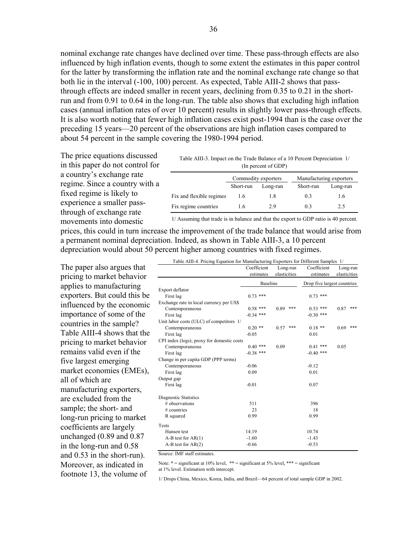nominal exchange rate changes have declined over time. These pass-through effects are also influenced by high inflation events, though to some extent the estimates in this paper control for the latter by transforming the inflation rate and the nominal exchange rate change so that both lie in the interval (-100, 100) percent. As expected, Table AIII-2 shows that passthrough effects are indeed smaller in recent years, declining from 0.35 to 0.21 in the shortrun and from 0.91 to 0.64 in the long-run. The table also shows that excluding high inflation cases (annual inflation rates of over 10 percent) results in slightly lower pass-through effects. It is also worth noting that fewer high inflation cases exist post-1994 than is the case over the preceding 15 years—20 percent of the observations are high inflation cases compared to about 54 percent in the sample covering the 1980-1994 period.

The price equations discussed in this paper do not control for a country's exchange rate regime. Since a country with a fixed regime is likely to experience a smaller passthrough of exchange rate movements into domestic

| Table AIII-3. Impact on the Trade Balance of a 10 Percent Depreciation 1/ |  |
|---------------------------------------------------------------------------|--|
| (In percent of GDP)                                                       |  |

|                          | Commodity exporters |          | Manufacturing exporters |          |
|--------------------------|---------------------|----------|-------------------------|----------|
|                          | Short-run           | Long-run | Short-run               | Long-run |
| Fix and flexible regimes | 1.6                 | 1.8      | 03                      | 16       |
| Fix regime countries     | 1.6                 | 29       | 03                      | 2.5      |

1/ Assuming that trade is in balance and that the export to GDP ratio is 40 percent.

prices, this could in turn increase the improvement of the trade balance that would arise from a permanent nominal depreciation. Indeed, as shown in Table AIII-3, a 10 percent depreciation would about 50 percent higher among countries with fixed regimes.

The paper also argues that pricing to market behavior applies to manufacturing exporters. But could this be influenced by the economic importance of some of the countries in the sample? Table AIII-4 shows that the pricing to market behavior remains valid even if the five largest emerging market economies (EMEs), all of which are manufacturing exporters, are excluded from the sample; the short- and long-run pricing to market coefficients are largely unchanged (0.89 and 0.87 in the long-run and 0.58 and 0.53 in the short-run). Moreover, as indicated in footnote 13, the volume of

| Table AIII-4. Pricing Equation for Manufacturing Exporters for Different Samples 1/ |                          |             |        |
|-------------------------------------------------------------------------------------|--------------------------|-------------|--------|
|                                                                                     | $Coefficient$ $Inor.run$ | Coefficient | I ong- |

|                                            | Coefficient     | Long-run     | Coefficient                 |              | Long-run |
|--------------------------------------------|-----------------|--------------|-----------------------------|--------------|----------|
|                                            | estimates       | elasticities | estimates                   | elasticities |          |
|                                            | <b>Baseline</b> |              | Drop five largest countries |              |          |
| Export deflator                            |                 |              |                             |              |          |
| First lag                                  | $0.73$ ***      |              | $0.73$ ***                  |              |          |
| Exchange rate in local currency per US\$   |                 |              |                             |              |          |
| Contemporaneous                            | $0.58$ ***      | 0.89<br>***  | $0.53$ ***                  | 0.87         | ***      |
| First lag                                  | $-0.34$ ***     |              | $-0.30$ ***                 |              |          |
| Unit labor costs (ULC) of competitors 1/   |                 |              |                             |              |          |
| Contemporaneous                            | $0.20$ **       | 0.57<br>***  | $0.18$ **                   | 0.69         | ***      |
| First lag                                  | $-0.05$         |              | 0.01                        |              |          |
| CPI index (logs); proxy for domestic costs |                 |              |                             |              |          |
| Contemporaneous                            | $0.40$ ***      | 0.09         | $0.41$ ***                  | 0.05         |          |
| First lag                                  | $-0.38$ ***     |              | $-0.40$ ***                 |              |          |
| Change in per capita GDP (PPP terms)       |                 |              |                             |              |          |
| Contemporaneous                            | $-0.06$         |              | $-0.12$                     |              |          |
| First lag                                  | 0.09            |              | 0.01                        |              |          |
| Output gap                                 |                 |              |                             |              |          |
| First lag                                  | $-0.01$         |              | 0.07                        |              |          |
| Diagnostic Statistics                      |                 |              |                             |              |          |
| # observations                             | 511             |              | 396                         |              |          |
| # countries                                | 23              |              | 18                          |              |          |
| R squared                                  | 0.99            |              | 0.99                        |              |          |
| Tests                                      |                 |              |                             |              |          |
| Hansen test                                | 14.19           |              | 10.74                       |              |          |
| $A-B$ test for $AR(1)$                     | $-1.60$         |              | $-1.43$                     |              |          |
| $A-B$ test for $AR(2)$                     | $-0.66$         |              | $-0.53$                     |              |          |

Source: IMF staff estimates.

Note:  $* =$  significant at 10% level,  $** =$  significant at 5% level,  $*** =$  significant at 1% level. Estimation with intercept.

1/ Drops China, Mexico, Korea, India, and Brazil—64 percent of total sample GDP in 2002.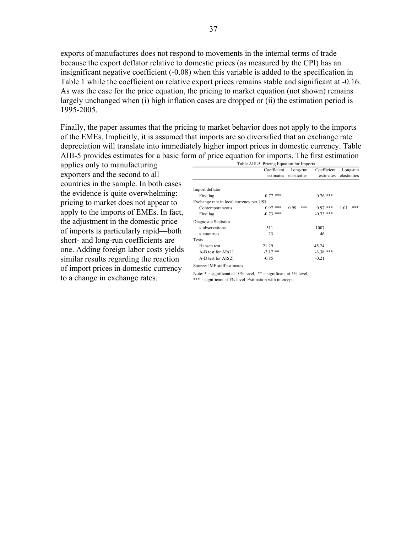exports of manufactures does not respond to movements in the internal terms of trade because the export deflator relative to domestic prices (as measured by the CPI) has an insignificant negative coefficient (-0.08) when this variable is added to the specification in Table 1 while the coefficient on relative export prices remains stable and significant at -0.16. As was the case for the price equation, the pricing to market equation (not shown) remains largely unchanged when (i) high inflation cases are dropped or (ii) the estimation period is 1995-2005.

37

Finally, the paper assumes that the pricing to market behavior does not apply to the imports of the EMEs. Implicitly, it is assumed that imports are so diversified that an exchange rate depreciation will translate into immediately higher import prices in domestic currency. Table AIII-5 provides estimates for a basic form of price equation for imports. The first estimation

applies only to manufacturing exporters and the second to all countries in the sample. In both cases the evidence is quite overwhelming: pricing to market does not appear to apply to the imports of EMEs. In fact, the adjustment in the domestic price of imports is particularly rapid—both short- and long-run coefficients are one. Adding foreign labor costs yields similar results regarding the reaction of import prices in domestic currency to a change in exchange rates.

|                                          | Coefficient | Long-run     | Coefficient | Long-run     |  |
|------------------------------------------|-------------|--------------|-------------|--------------|--|
|                                          | estimates   | elasticities | estimates   | elasticities |  |
|                                          |             |              |             |              |  |
| Import deflator                          |             |              |             |              |  |
| First lag                                | $0.77$ ***  |              | $0.76$ ***  |              |  |
| Exchange rate in local currency per US\$ |             |              |             |              |  |
| Contemporaneous                          | $0.97$ ***  | ***<br>0.99  | ***<br>0.97 | ***<br>1.01  |  |
| First lag                                | $-0.73$ *** |              | $-0.73$ *** |              |  |
| Diagnostic Statistics                    |             |              |             |              |  |
| # observations                           | 511         |              | 1007        |              |  |
| $#$ countries                            | 23          |              | 46          |              |  |
| <b>Tests</b>                             |             |              |             |              |  |
| Hansen test                              | 21.29       |              | 45.24       |              |  |
| $A-B$ test for $AR(1)$                   | $-2.17$ **  |              | $-3.38$ *** |              |  |
| $A-B$ test for $AR(2)$                   | $-0.85$     |              | $-0.21$     |              |  |

Note:  $* =$  significant at 10% level,  $** =$  significant at 5% level,

\*\*\* = significant at 1% level. Estimation with intercept.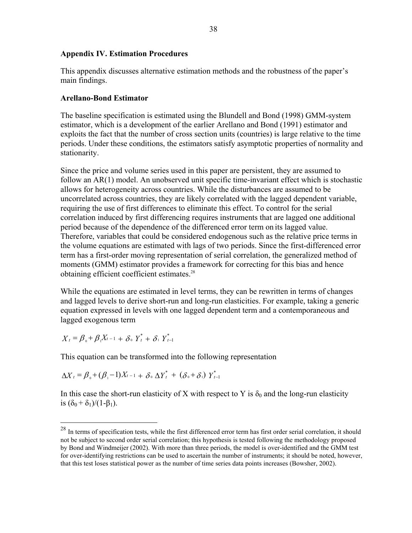#### **Appendix IV. Estimation Procedures**

This appendix discusses alternative estimation methods and the robustness of the paper's main findings.

#### **Arellano-Bond Estimator**

The baseline specification is estimated using the Blundell and Bond (1998) GMM-system estimator, which is a development of the earlier Arellano and Bond (1991) estimator and exploits the fact that the number of cross section units (countries) is large relative to the time periods. Under these conditions, the estimators satisfy asymptotic properties of normality and stationarity.

Since the price and volume series used in this paper are persistent, they are assumed to follow an AR(1) model. An unobserved unit specific time-invariant effect which is stochastic allows for heterogeneity across countries. While the disturbances are assumed to be uncorrelated across countries, they are likely correlated with the lagged dependent variable, requiring the use of first differences to eliminate this effect. To control for the serial correlation induced by first differencing requires instruments that are lagged one additional period because of the dependence of the differenced error term on its lagged value. Therefore, variables that could be considered endogenous such as the relative price terms in the volume equations are estimated with lags of two periods. Since the first-differenced error term has a first-order moving representation of serial correlation, the generalized method of moments (GMM) estimator provides a framework for correcting for this bias and hence obtaining efficient coefficient estimates.<sup>28</sup>

While the equations are estimated in level terms, they can be rewritten in terms of changes and lagged levels to derive short-run and long-run elasticities. For example, taking a generic equation expressed in levels with one lagged dependent term and a contemporaneous and lagged exogenous term

$$
X_t = \beta_0 + \beta_1 X_{t-1} + \delta_0 Y_t^* + \delta_1 Y_{t-1}^*
$$

 $\overline{a}$ 

This equation can be transformed into the following representation

$$
\Delta X_t = \beta_0 + (\beta_1 - 1)X_{t-1} + \delta_0 \Delta Y_t^* + (\delta_0 + \delta_1) Y_{t-1}^*
$$

In this case the short-run elasticity of X with respect to Y is  $\delta_0$  and the long-run elasticity is  $(\delta_0 + \delta_1)/(1-\beta_1)$ .

<sup>&</sup>lt;sup>28</sup> In terms of specification tests, while the first differenced error term has first order serial correlation, it should not be subject to second order serial correlation; this hypothesis is tested following the methodology proposed by Bond and Windmeijer (2002). With more than three periods, the model is over-identified and the GMM test for over-identifying restrictions can be used to ascertain the number of instruments; it should be noted, however, that this test loses statistical power as the number of time series data points increases (Bowsher, 2002).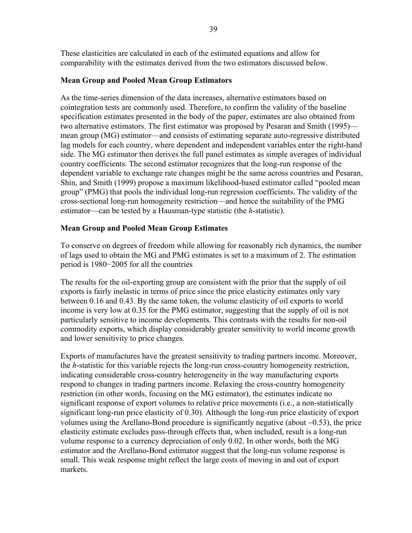These elasticities are calculated in each of the estimated equations and allow for comparability with the estimates derived from the two estimators discussed below.

# **Mean Group and Pooled Mean Group Estimators**

As the time-series dimension of the data increases, alternative estimators based on cointegration tests are commonly used. Therefore, to confirm the validity of the baseline specification estimates presented in the body of the paper, estimates are also obtained from two alternative estimators. The first estimator was proposed by Pesaran and Smith (1995) mean group (MG) estimator—and consists of estimating separate auto-regressive distributed lag models for each country, where dependent and independent variables enter the right-hand side. The MG estimator then derives the full panel estimates as simple averages of individual country coefficients. The second estimator recognizes that the long-run response of the dependent variable to exchange rate changes might be the same across countries and Pesaran, Shin, and Smith (1999) propose a maximum likelihood-based estimator called "pooled mean group" (PMG) that pools the individual long-run regression coefficients. The validity of the cross-sectional long-run homogeneity restriction—and hence the suitability of the PMG estimator—can be tested by a Hausman-type statistic (the *h*-statistic).

# **Mean Group and Pooled Mean Group Estimates**

To conserve on degrees of freedom while allowing for reasonably rich dynamics, the number of lags used to obtain the MG and PMG estimates is set to a maximum of 2. The estimation period is 1980−2005 for all the countries

The results for the oil-exporting group are consistent with the prior that the supply of oil exports is fairly inelastic in terms of price since the price elasticity estimates only vary between 0.16 and 0.43. By the same token, the volume elasticity of oil exports to world income is very low at 0.35 for the PMG estimator, suggesting that the supply of oil is not particularly sensitive to income developments. This contrasts with the results for non-oil commodity exports, which display considerably greater sensitivity to world income growth and lower sensitivity to price changes.

Exports of manufactures have the greatest sensitivity to trading partners income. Moreover, the *h*-statistic for this variable rejects the long-run cross-country homogeneity restriction, indicating considerable cross-country heterogeneity in the way manufacturing exports respond to changes in trading partners income. Relaxing the cross-country homogeneity restriction (in other words, focusing on the MG estimator), the estimates indicate no significant response of export volumes to relative price movements (i.e., a non-statistically significant long-run price elasticity of 0.30). Although the long-run price elasticity of export volumes using the Arellano-Bond procedure is significantly negative (about −0.53), the price elasticity estimate excludes pass-through effects that, when included, result is a long-run volume response to a currency depreciation of only 0.02. In other words, both the MG estimator and the Arellano-Bond estimator suggest that the long-run volume response is small. This weak response might reflect the large costs of moving in and out of export markets.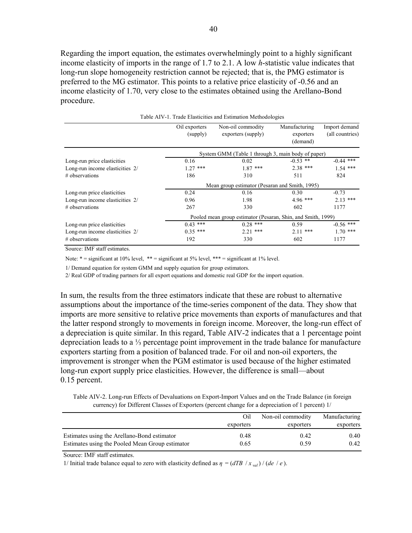Regarding the import equation, the estimates overwhelmingly point to a highly significant income elasticity of imports in the range of 1.7 to 2.1. A low *h*-statistic value indicates that long-run slope homogeneity restriction cannot be rejected; that is, the PMG estimator is preferred to the MG estimator. This points to a relative price elasticity of -0.56 and an income elasticity of 1.70, very close to the estimates obtained using the Arellano-Bond procedure.

|                                 | Oil exporters                                                | Non-oil commodity  | Manufacturing | Import demand   |  |  |
|---------------------------------|--------------------------------------------------------------|--------------------|---------------|-----------------|--|--|
|                                 | (supply)                                                     | exporters (supply) | exporters     | (all countries) |  |  |
|                                 |                                                              |                    | (demand)      |                 |  |  |
|                                 | System GMM (Table 1 through 3, main body of paper)           |                    |               |                 |  |  |
| Long-run price elasticities     | 0.16                                                         | 0.02               | $-0.53$ **    | $-0.44$ ***     |  |  |
| Long-run income elasticities 2/ | $1.27$ ***                                                   | $1.87$ ***         | $2.38$ ***    | $1.54$ ***      |  |  |
| # observations                  | 186                                                          | 310                | 511           | 824             |  |  |
|                                 | Mean group estimator (Pesaran and Smith, 1995)               |                    |               |                 |  |  |
| Long-run price elasticities     | 0.24                                                         | 0.16               | 0.30          | $-0.73$         |  |  |
| Long-run income elasticities 2/ | 0.96                                                         | 1.98               | $4.96$ ***    | $2.13$ ***      |  |  |
| # observations                  | 267                                                          | 330                | 602           | 1177            |  |  |
|                                 | Pooled mean group estimator (Pesaran, Shin, and Smith, 1999) |                    |               |                 |  |  |
| Long-run price elasticities     | $0.43$ ***                                                   | $0.28$ ***         | 0.59          | $-0.56$ ***     |  |  |
| Long-run income elasticities 2/ | $0.35$ ***                                                   | $2.21$ ***         | $2.11***$     | $1.70$ ***      |  |  |
| # observations                  | 192                                                          | 330                | 602           | 1177            |  |  |

Table AIV-1. Trade Elasticities and Estimation Methodologies

Source: IMF staff estimates.

Note:  $* =$  significant at 10% level,  $** =$  significant at 5% level,  $*** =$  significant at 1% level.

1/ Demand equation for system GMM and supply equation for group estimators.

2/ Real GDP of trading partners for all export equations and domestic real GDP for the import equation.

In sum, the results from the three estimators indicate that these are robust to alternative assumptions about the importance of the time-series component of the data. They show that imports are more sensitive to relative price movements than exports of manufactures and that the latter respond strongly to movements in foreign income. Moreover, the long-run effect of a depreciation is quite similar. In this regard, Table AIV-2 indicates that a 1 percentage point depreciation leads to a ⅓ percentage point improvement in the trade balance for manufacture exporters starting from a position of balanced trade. For oil and non-oil exporters, the improvement is stronger when the PGM estimator is used because of the higher estimated long-run export supply price elasticities. However, the difference is small—about 0.15 percent.

Table AIV-2. Long-run Effects of Devaluations on Export-Import Values and on the Trade Balance (in foreign currency) for Different Classes of Exporters (percent change for a depreciation of 1 percent) 1/

|                                                                                                | Oil          | Non-oil commodity | Manufacturing |
|------------------------------------------------------------------------------------------------|--------------|-------------------|---------------|
|                                                                                                | exporters    | exporters         | exporters     |
| Estimates using the Arellano-Bond estimator<br>Estimates using the Pooled Mean Group estimator | 0.48<br>0.65 | 0.42<br>0.59      | 0.40<br>0.42  |

Source: IMF staff estimates.

1/ Initial trade balance equal to zero with elasticity defined as  $\eta = (dTB / x_{val}) / (de / e)$ .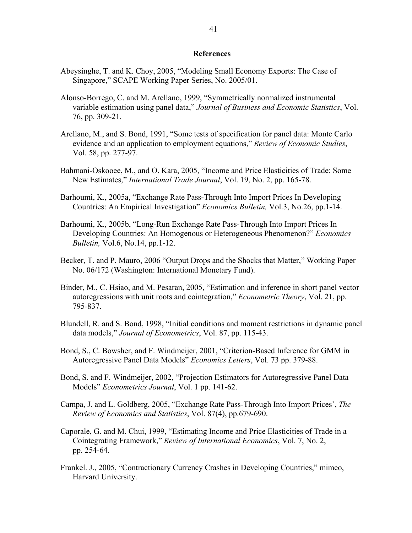#### **References**

- Abeysinghe, T. and K. Choy, 2005, "Modeling Small Economy Exports: The Case of Singapore," SCAPE Working Paper Series, No. 2005/01.
- Alonso-Borrego, C. and M. Arellano, 1999, "Symmetrically normalized instrumental variable estimation using panel data," *Journal of Business and Economic Statistics*, Vol. 76, pp. 309-21.
- Arellano, M., and S. Bond, 1991, "Some tests of specification for panel data: Monte Carlo evidence and an application to employment equations," *Review of Economic Studies*, Vol. 58, pp. 277-97.
- Bahmani-Oskooee, M., and O. Kara, 2005, "Income and Price Elasticities of Trade: Some New Estimates," *International Trade Journal*, Vol. 19, No. 2, pp. 165-78.
- Barhoumi, K., 2005a, "Exchange Rate Pass-Through Into Import Prices In Developing Countries: An Empirical Investigation" *Economics Bulletin,* Vol.3, No.26, pp.1-14.
- Barhoumi, K., 2005b, "Long-Run Exchange Rate Pass-Through Into Import Prices In Developing Countries: An Homogenous or Heterogeneous Phenomenon?" *Economics Bulletin,* Vol.6, No.14, pp.1-12.
- Becker, T. and P. Mauro, 2006 "Output Drops and the Shocks that Matter," Working Paper No. 06/172 (Washington: International Monetary Fund).
- Binder, M., C. Hsiao, and M. Pesaran, 2005, "Estimation and inference in short panel vector autoregressions with unit roots and cointegration," *Econometric Theory*, Vol. 21, pp. 795-837.
- Blundell, R. and S. Bond, 1998, "Initial conditions and moment restrictions in dynamic panel data models," *Journal of Econometrics*, Vol. 87, pp. 115-43.
- Bond, S., C. Bowsher, and F. Windmeijer, 2001, "Criterion-Based Inference for GMM in Autoregressive Panel Data Models" *Economics Letters*, Vol. 73 pp. 379-88.
- Bond, S. and F. Windmeijer, 2002, "Projection Estimators for Autoregressive Panel Data Models" *Econometrics Journal*, Vol. 1 pp. 141-62.
- Campa, J. and L. Goldberg, 2005, "Exchange Rate Pass-Through Into Import Prices', *The Review of Economics and Statistics*, Vol. 87(4), pp.679-690.
- Caporale, G. and M. Chui, 1999, "Estimating Income and Price Elasticities of Trade in a Cointegrating Framework," *Review of International Economics*, Vol. 7, No. 2, pp. 254-64.
- Frankel. J., 2005, "Contractionary Currency Crashes in Developing Countries," mimeo, Harvard University.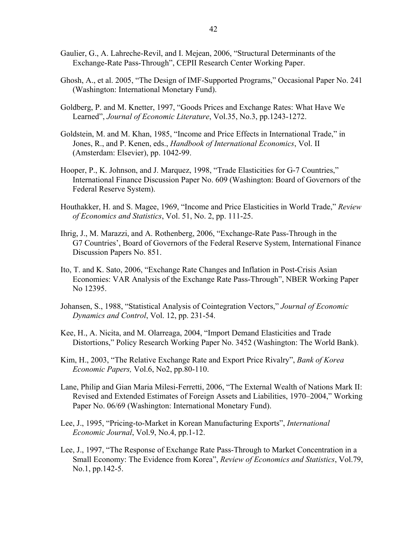- Gaulier, G., A. Lahreche-Revil, and I. Mejean, 2006, "Structural Determinants of the Exchange-Rate Pass-Through", CEPII Research Center Working Paper.
- Ghosh, A., et al. 2005, "The Design of IMF-Supported Programs," Occasional Paper No. 241 (Washington: International Monetary Fund).
- Goldberg, P. and M. Knetter, 1997, "Goods Prices and Exchange Rates: What Have We Learned", *Journal of Economic Literature*, Vol.35, No.3, pp.1243-1272.
- Goldstein, M. and M. Khan, 1985, "Income and Price Effects in International Trade," in Jones, R., and P. Kenen, eds., *Handbook of International Economics*, Vol. II (Amsterdam: Elsevier), pp. 1042-99.
- Hooper, P., K. Johnson, and J. Marquez, 1998, "Trade Elasticities for G-7 Countries," International Finance Discussion Paper No. 609 (Washington: Board of Governors of the Federal Reserve System).
- Houthakker, H. and S. Magee, 1969, "Income and Price Elasticities in World Trade," *Review of Economics and Statistics*, Vol. 51, No. 2, pp. 111-25.
- Ihrig, J., M. Marazzi, and A. Rothenberg, 2006, "Exchange-Rate Pass-Through in the G7 Countries', Board of Governors of the Federal Reserve System, International Finance Discussion Papers No. 851.
- Ito, T. and K. Sato, 2006, "Exchange Rate Changes and Inflation in Post-Crisis Asian Economies: VAR Analysis of the Exchange Rate Pass-Through", NBER Working Paper No 12395.
- Johansen, S., 1988, "Statistical Analysis of Cointegration Vectors," *Journal of Economic Dynamics and Control*, Vol. 12, pp. 231-54.
- Kee, H., A. Nicita, and M. Olarreaga, 2004, "Import Demand Elasticities and Trade Distortions," Policy Research Working Paper No. 3452 (Washington: The World Bank).
- Kim, H., 2003, "The Relative Exchange Rate and Export Price Rivalry", *Bank of Korea Economic Papers,* Vol.6, No2, pp.80-110.
- Lane, Philip and Gian Maria Milesi-Ferretti, 2006, "The External Wealth of Nations Mark II: Revised and Extended Estimates of Foreign Assets and Liabilities, 1970–2004," Working Paper No. 06/69 (Washington: International Monetary Fund).
- Lee, J., 1995, "Pricing-to-Market in Korean Manufacturing Exports", *International Economic Journal*, Vol.9, No.4, pp.1-12.
- Lee, J., 1997, "The Response of Exchange Rate Pass-Through to Market Concentration in a Small Economy: The Evidence from Korea", *Review of Economics and Statistics*, Vol.79, No.1, pp.142-5.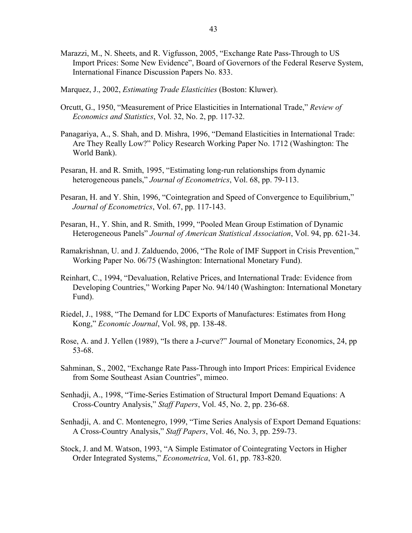- Marazzi, M., N. Sheets, and R. Vigfusson, 2005, "Exchange Rate Pass-Through to US Import Prices: Some New Evidence", Board of Governors of the Federal Reserve System, International Finance Discussion Papers No. 833.
- Marquez, J., 2002, *Estimating Trade Elasticities* (Boston: Kluwer).
- Orcutt, G., 1950, "Measurement of Price Elasticities in International Trade," *Review of Economics and Statistics*, Vol. 32, No. 2, pp. 117-32.
- Panagariya, A., S. Shah, and D. Mishra, 1996, "Demand Elasticities in International Trade: Are They Really Low?" Policy Research Working Paper No. 1712 (Washington: The World Bank).
- Pesaran, H. and R. Smith, 1995, "Estimating long-run relationships from dynamic heterogeneous panels," *Journal of Econometrics*, Vol. 68, pp. 79-113.
- Pesaran, H. and Y. Shin, 1996, "Cointegration and Speed of Convergence to Equilibrium," *Journal of Econometrics*, Vol. 67, pp. 117-143.
- Pesaran, H., Y. Shin, and R. Smith, 1999, "Pooled Mean Group Estimation of Dynamic Heterogeneous Panels" *Journal of American Statistical Association*, Vol. 94, pp. 621-34.
- Ramakrishnan, U. and J. Zalduendo, 2006, "The Role of IMF Support in Crisis Prevention," Working Paper No. 06/75 (Washington: International Monetary Fund).
- Reinhart, C., 1994, "Devaluation, Relative Prices, and International Trade: Evidence from Developing Countries," Working Paper No. 94/140 (Washington: International Monetary Fund).
- Riedel, J., 1988, "The Demand for LDC Exports of Manufactures: Estimates from Hong Kong," *Economic Journal*, Vol. 98, pp. 138-48.
- Rose, A. and J. Yellen (1989), "Is there a J-curve?" Journal of Monetary Economics, 24, pp 53-68.
- Sahminan, S., 2002, "Exchange Rate Pass-Through into Import Prices: Empirical Evidence from Some Southeast Asian Countries", mimeo.
- Senhadji, A., 1998, "Time-Series Estimation of Structural Import Demand Equations: A Cross-Country Analysis," *Staff Papers*, Vol. 45, No. 2, pp. 236-68.
- Senhadji, A. and C. Montenegro, 1999, "Time Series Analysis of Export Demand Equations: A Cross-Country Analysis," *Staff Papers*, Vol. 46, No. 3, pp. 259-73.
- Stock, J. and M. Watson, 1993, "A Simple Estimator of Cointegrating Vectors in Higher Order Integrated Systems," *Econometrica*, Vol. 61, pp. 783-820.